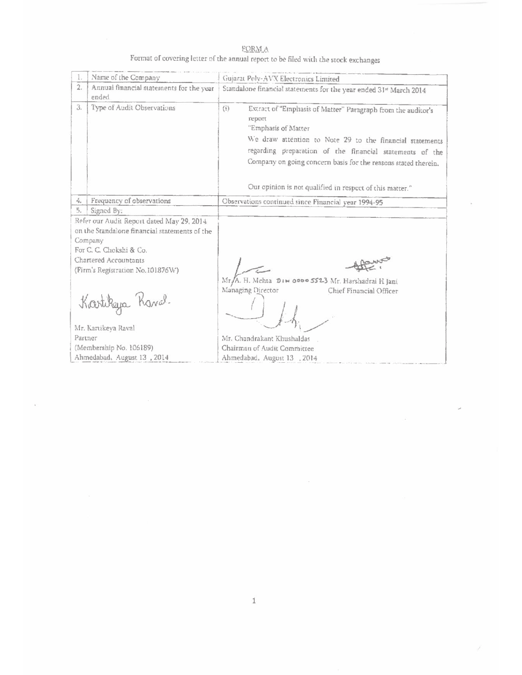| 1.                      | Name of the Company                               | Gujarat Poly-AVX Electronics Limited                                                                                                                                                                                                                                                                                                                       |  |  |  |
|-------------------------|---------------------------------------------------|------------------------------------------------------------------------------------------------------------------------------------------------------------------------------------------------------------------------------------------------------------------------------------------------------------------------------------------------------------|--|--|--|
| 2.                      | Annual financial statements for the year<br>ended | Standalone financial statements for the year ended 31st March 2014                                                                                                                                                                                                                                                                                         |  |  |  |
| 3.                      | Type of Audit Observations                        | (i)<br>Extract of "Emphasis of Matter" Paragraph from the auditor's<br>report<br>"Emphasis of Matter<br>We draw attention to Note 29 to the financial statements<br>regarding preparation of the financial statements of the<br>Company on going concern basis for the reasons stated therein.<br>Our opinion is not qualified in respect of this matter." |  |  |  |
| 4.                      | Frequency of observations                         | Observations continued since Financial year 1994-95                                                                                                                                                                                                                                                                                                        |  |  |  |
| 5.                      | Signed By:                                        |                                                                                                                                                                                                                                                                                                                                                            |  |  |  |
|                         | Refer our Audit Report dated May 29, 2014         |                                                                                                                                                                                                                                                                                                                                                            |  |  |  |
|                         | on the Standalone financial statements of the     |                                                                                                                                                                                                                                                                                                                                                            |  |  |  |
|                         | Company                                           |                                                                                                                                                                                                                                                                                                                                                            |  |  |  |
|                         | For C. C. Chekshi & Co.                           |                                                                                                                                                                                                                                                                                                                                                            |  |  |  |
|                         | Chartered Accountants                             |                                                                                                                                                                                                                                                                                                                                                            |  |  |  |
|                         | (Firm's Registration No.101876W)                  |                                                                                                                                                                                                                                                                                                                                                            |  |  |  |
| Kartikya Kaval.         |                                                   | Mr/A. H. Mehta DIN 0000 5523 Mr. Harshadrai H Jani<br>Managing Director<br>Chief Financial Officer                                                                                                                                                                                                                                                         |  |  |  |
| Mr. Kartikeya Raval     |                                                   |                                                                                                                                                                                                                                                                                                                                                            |  |  |  |
| Partner                 |                                                   | Mr. Chandrakant Khushaldas                                                                                                                                                                                                                                                                                                                                 |  |  |  |
| (Membership No. 106189) |                                                   | Chairman of Audit Committee                                                                                                                                                                                                                                                                                                                                |  |  |  |
|                         | Ahmedabad, August 13, 2014                        | Ahmedabad, August 13, 2014                                                                                                                                                                                                                                                                                                                                 |  |  |  |

 $\frac{\text{FORM\_A}}{\text{Format of covering letter of the annual report to be filed with the stock exchanges}}$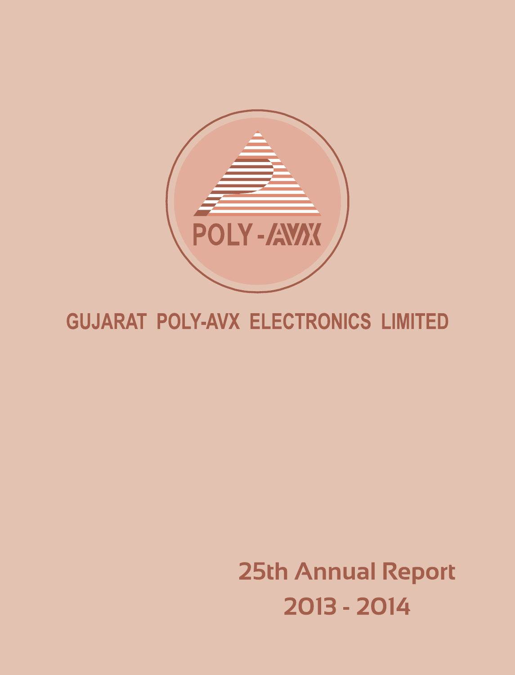

# **GUJARAT POLY-AVX ELECTRONICS LIMITED**

**25th Annual Report** 2013 - 2014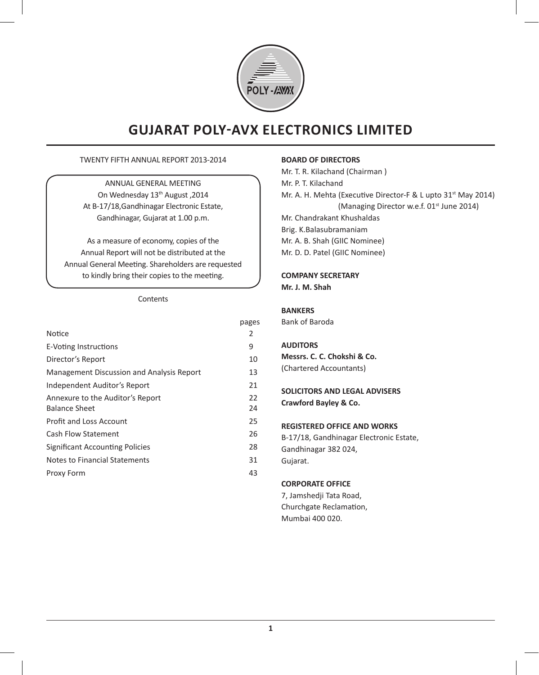

### TWENTY FIFTH ANNUAL REPORT 2013-2014

ANNUAL GENERAL MEETING On Wednesday 13th August ,2014 At B-17/18,Gandhinagar Electronic Estate, Gandhinagar, Gujarat at 1.00 p.m.

As a measure of economy, copies of the Annual Report will not be distributed at the Annual General Meeting. Shareholders are requested to kindly bring their copies to the meeting.

### **Contents**

|                                                          | pages    |
|----------------------------------------------------------|----------|
| <b>Notice</b>                                            | 2        |
| E-Voting Instructions                                    | 9        |
| Director's Report                                        | 10       |
| Management Discussion and Analysis Report                | 13       |
| Independent Auditor's Report                             | 21       |
| Annexure to the Auditor's Report<br><b>Balance Sheet</b> | 22<br>24 |
| Profit and Loss Account                                  |          |
|                                                          | 25       |
| <b>Cash Flow Statement</b>                               | 26       |
| <b>Significant Accounting Policies</b>                   | 28       |
| Notes to Financial Statements                            | 31       |
| Proxy Form                                               | 43       |

### **BOARD OF DIRECTORS**

Mr. T. R. Kilachand (Chairman ) Mr. P. T. Kilachand Mr. A. H. Mehta (Executive Director-F & L upto 31<sup>st</sup> May 2014) (Managing Director w.e.f. 01<sup>st</sup> June 2014) Mr. Chandrakant Khushaldas Brig. K.Balasubramaniam Mr. A. B. Shah (GIIC Nominee) Mr. D. D. Patel (GIIC Nominee)

### **COMPANY SECRETARY**

**Mr. J. M. Shah**

### **BANKERS**

Bank of Baroda

### **AUDITORS**

**Messrs. C. C. Chokshi & Co.** (Chartered Accountants)

## **SOLICITORS AND LEGAL ADVISERS**

**Crawford Bayley & Co.**

### **REGISTERED OFFICE AND WORKS**

B-17/18, Gandhinagar Electronic Estate, Gandhinagar 382 024, Gujarat.

## **CORPORATE OFFICE**

7, Jamshedji Tata Road, Churchgate Reclamation, Mumbai 400 020.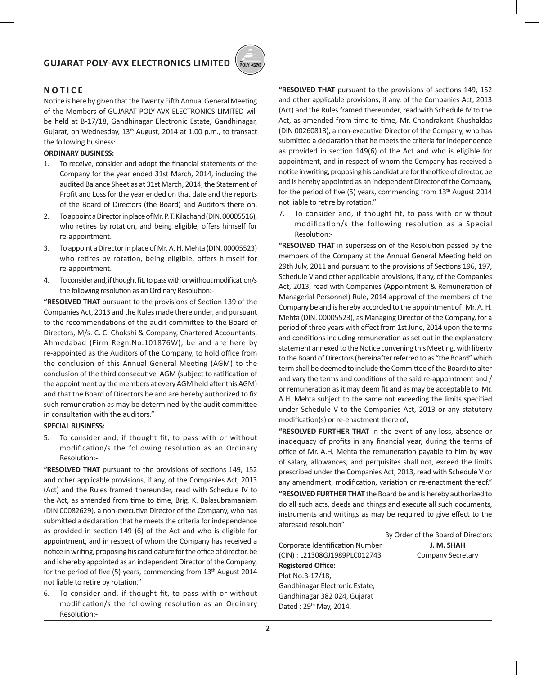### **N O T I C E**

Notice is here by given that the Twenty Fifth Annual General Meeting of the Members of GUJARAT POLY-AVX ELECTRONICS LIMITED will be held at B-17/18, Gandhinagar Electronic Estate, Gandhinagar, Gujarat, on Wednesday, 13th August, 2014 at 1.00 p.m., to transact the following business:

 $\sqrt{2}$  $\cap$   $\vee$   $\vee$  $\vee$ 

#### **ORDINARY BUSINESS:**

- 1. To receive, consider and adopt the financial statements of the Company for the year ended 31st March, 2014, including the audited Balance Sheet as at 31st March, 2014, the Statement of Profit and Loss for the year ended on that date and the reports of the Board of Directors (the Board) and Auditors there on.
- 2. To appoint a Director in place of Mr. P. T. Kilachand (DIN. 00005516), who retires by rotation, and being eligible, offers himself for re-appointment.
- 3. To appoint a Director in place of Mr. A. H. Mehta (DIN. 00005523) who retires by rotation, being eligible, offers himself for re-appointment.
- 4. To consider and, if thought fit, to pass with or without modification/s the following resolution as an Ordinary Resolution:-

**"RESOLVED THAT** pursuant to the provisions of Section 139 of the Companies Act, 2013 and the Rules made there under, and pursuant to the recommendations of the audit committee to the Board of Directors, M/s. C. C. Chokshi & Company, Chartered Accountants, Ahmedabad (Firm Regn.No.101876W), be and are here by re-appointed as the Auditors of the Company, to hold office from the conclusion of this Annual General Meeting (AGM) to the conclusion of the third consecutive AGM (subject to ratification of the appointment by the members at every AGM held after this AGM) and that the Board of Directors be and are hereby authorized to fix such remuneration as may be determined by the audit committee in consultation with the auditors."

#### **SPECIAL BUSINESS:**

5. To consider and, if thought fit, to pass with or without modification/s the following resolution as an Ordinary Resolution:-

**"RESOLVED THAT** pursuant to the provisions of sections 149, 152 and other applicable provisions, if any, of the Companies Act, 2013 (Act) and the Rules framed thereunder, read with Schedule IV to the Act, as amended from time to time, Brig. K. Balasubramaniam (DIN 00082629), a non-executive Director of the Company, who has submitted a declaration that he meets the criteria for independence as provided in section 149 (6) of the Act and who is eligible for appointment, and in respect of whom the Company has received a notice in writing, proposing his candidature for the office of director, be and is hereby appointed as an independent Director of the Company, for the period of five (5) years, commencing from 13th August 2014 not liable to retire by rotation."

6. To consider and, if thought fit, to pass with or without modification/s the following resolution as an Ordinary Resolution:-

**"RESOLVED THAT** pursuant to the provisions of sections 149, 152 and other applicable provisions, if any, of the Companies Act, 2013 (Act) and the Rules framed thereunder, read with Schedule IV to the Act, as amended from time to time, Mr. Chandrakant Khushaldas (DIN 00260818), a non-executive Director of the Company, who has submitted a declaration that he meets the criteria for independence as provided in section 149(6) of the Act and who is eligible for appointment, and in respect of whom the Company has received a notice in writing, proposing his candidature for the office of director, be and is hereby appointed as an independent Director of the Company, for the period of five (5) years, commencing from 13<sup>th</sup> August 2014 not liable to retire by rotation."

7. To consider and, if thought fit, to pass with or without modification/s the following resolution as a Special Resolution:-

**"RESOLVED THAT** in supersession of the Resolution passed by the members of the Company at the Annual General Meeting held on 29th July, 2011 and pursuant to the provisions of Sections 196, 197, Schedule V and other applicable provisions, if any, of the Companies Act, 2013, read with Companies (Appointment & Remuneration of Managerial Personnel) Rule, 2014 approval of the members of the Company be and is hereby accorded to the appointment of Mr. A. H. Mehta (DIN. 00005523), as Managing Director of the Company, for a period of three years with effect from 1st June, 2014 upon the terms and conditions including remuneration as set out in the explanatory statement annexed to the Notice convening this Meeting, with liberty to the Board of Directors (hereinafter referred to as "the Board" which term shall be deemed to include the Committee of the Board) to alter and vary the terms and conditions of the said re-appointment and / or remuneration as it may deem fit and as may be acceptable to Mr. A.H. Mehta subject to the same not exceeding the limits specified under Schedule V to the Companies Act, 2013 or any statutory modification(s) or re-enactment there of;

**"RESOLVED FURTHER THAT** in the event of any loss, absence or inadequacy of profits in any financial year, during the terms of office of Mr. A.H. Mehta the remuneration payable to him by way of salary, allowances, and perquisites shall not, exceed the limits prescribed under the Companies Act, 2013, read with Schedule V or any amendment, modification, variation or re-enactment thereof."

**"RESOLVED FURTHER THAT** the Board be and is hereby authorized to do all such acts, deeds and things and execute all such documents, instruments and writings as may be required to give effect to the aforesaid resolution"

By Order of the Board of Directors

Corporate Identification Number **J. M. SHAH** (CIN) : L21308GJ1989PLC012743 Company Secretary **Registered Office:** Plot No.B-17/18,

Gandhinagar Electronic Estate, Gandhinagar 382 024, Gujarat Dated: 29<sup>th</sup> May, 2014.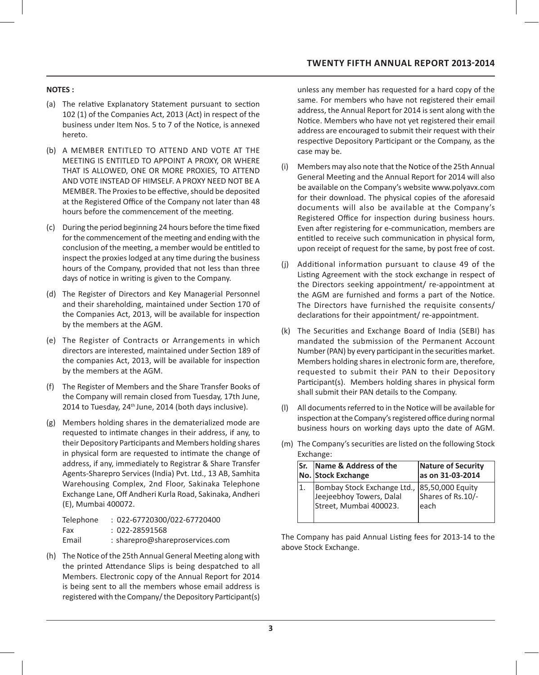### **NOTES :**

- (a) The relative Explanatory Statement pursuant to section 102 (1) of the Companies Act, 2013 (Act) in respect of the business under Item Nos. 5 to 7 of the Notice, is annexed hereto.
- (b) A MEMBER ENTITLED TO ATTEND AND VOTE AT THE MEETING IS ENTITLED TO APPOINT A PROXY, OR WHERE THAT IS ALLOWED, ONE OR MORE PROXIES, TO ATTEND AND VOTE INSTEAD OF HIMSELF. A PROXY NEED NOT BE A MEMBER. The Proxies to be effective, should be deposited at the Registered Office of the Company not later than 48 hours before the commencement of the meeting.
- (c) During the period beginning 24 hours before the time fixed for the commencement of the meeting and ending with the conclusion of the meeting, a member would be entitled to inspect the proxies lodged at any time during the business hours of the Company, provided that not less than three days of notice in writing is given to the Company.
- (d) The Register of Directors and Key Managerial Personnel and their shareholding, maintained under Section 170 of the Companies Act, 2013, will be available for inspection by the members at the AGM.
- (e) The Register of Contracts or Arrangements in which directors are interested, maintained under Section 189 of the companies Act, 2013, will be available for inspection by the members at the AGM.
- (f) The Register of Members and the Share Transfer Books of the Company will remain closed from Tuesday, 17th June, 2014 to Tuesday, 24<sup>th</sup> June, 2014 (both days inclusive).
- (g) Members holding shares in the dematerialized mode are requested to intimate changes in their address, if any, to their Depository Participants and Members holding shares in physical form are requested to intimate the change of address, if any, immediately to Registrar & Share Transfer Agents-Sharepro Services (India) Pvt. Ltd., 13 AB, Samhita Warehousing Complex, 2nd Floor, Sakinaka Telephone Exchange Lane, Off Andheri Kurla Road, Sakinaka, Andheri (E), Mumbai 400072.

| Telephone | : 022-67720300/022-67720400     |
|-----------|---------------------------------|
| Fax       | $: 022 - 28591568$              |
| Email     | : sharepro@shareproservices.com |

(h) The Notice of the 25th Annual General Meeting along with the printed Attendance Slips is being despatched to all Members. Electronic copy of the Annual Report for 2014 is being sent to all the members whose email address is registered with the Company/ the Depository Participant(s) unless any member has requested for a hard copy of the same. For members who have not registered their email address, the Annual Report for 2014 is sent along with the Notice. Members who have not yet registered their email address are encouraged to submit their request with their respective Depository Participant or the Company, as the case may be.

- (i) Members may also note that the Notice of the 25th Annual General Meeting and the Annual Report for 2014 will also be available on the Company's website www.polyavx.com for their download. The physical copies of the aforesaid documents will also be available at the Company's Registered Office for inspection during business hours. Even after registering for e-communication, members are entitled to receive such communication in physical form, upon receipt of request for the same, by post free of cost.
- (j) Additional information pursuant to clause 49 of the Listing Agreement with the stock exchange in respect of the Directors seeking appointment/ re-appointment at the AGM are furnished and forms a part of the Notice. The Directors have furnished the requisite consents/ declarations for their appointment/ re-appointment.
- (k) The Securities and Exchange Board of India (SEBI) has mandated the submission of the Permanent Account Number (PAN) by every participant in the securities market. Members holding shares in electronic form are, therefore, requested to submit their PAN to their Depository Participant(s). Members holding shares in physical form shall submit their PAN details to the Company.
- (l) All documents referred to in the Notice will be available for inspection at the Company's registered office during normal business hours on working days upto the date of AGM.

| ISr. | Name & Address of the<br>No. Stock Exchange                                       | Nature of Security<br>as on 31-03-2014        |
|------|-----------------------------------------------------------------------------------|-----------------------------------------------|
|      | Bombay Stock Exchange Ltd.,<br>Jeejeebhoy Towers, Dalal<br>Street, Mumbai 400023. | 85,50,000 Equity<br>Shares of Rs.10/-<br>each |

(m) The Company's securities are listed on the following Stock Exchange:

The Company has paid Annual Listing fees for 2013-14 to the above Stock Exchange.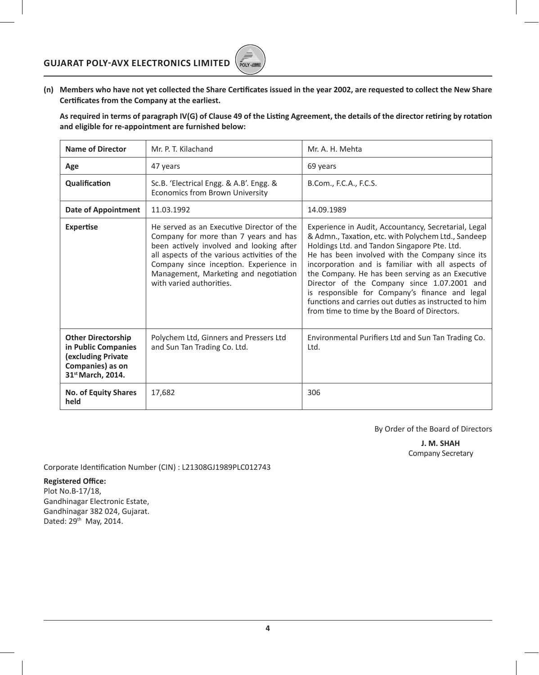**(n) Members who have not yet collected the Share Certificates issued in the year 2002, are requested to collect the New Share Certificates from the Company at the earliest.** 

POLY AWAY

 **As required in terms of paragraph IV(G) of Clause 49 of the Listing Agreement, the details of the director retiring by rotation and eligible for re-appointment are furnished below:**

| <b>Name of Director</b>                                                                                                     | Mr. P. T. Kilachand                                                                                                                                                                                                                                                                           | Mr. A. H. Mehta                                                                                                                                                                                                                                                                                                                                                                                                                                                                                                                   |
|-----------------------------------------------------------------------------------------------------------------------------|-----------------------------------------------------------------------------------------------------------------------------------------------------------------------------------------------------------------------------------------------------------------------------------------------|-----------------------------------------------------------------------------------------------------------------------------------------------------------------------------------------------------------------------------------------------------------------------------------------------------------------------------------------------------------------------------------------------------------------------------------------------------------------------------------------------------------------------------------|
| Age                                                                                                                         | 47 years                                                                                                                                                                                                                                                                                      | 69 years                                                                                                                                                                                                                                                                                                                                                                                                                                                                                                                          |
| Qualification                                                                                                               | Sc.B. 'Electrical Engg. & A.B'. Engg. &<br><b>Economics from Brown University</b>                                                                                                                                                                                                             | B.Com., F.C.A., F.C.S.                                                                                                                                                                                                                                                                                                                                                                                                                                                                                                            |
| Date of Appointment                                                                                                         | 11.03.1992                                                                                                                                                                                                                                                                                    | 14.09.1989                                                                                                                                                                                                                                                                                                                                                                                                                                                                                                                        |
| <b>Expertise</b>                                                                                                            | He served as an Executive Director of the<br>Company for more than 7 years and has<br>been actively involved and looking after<br>all aspects of the various activities of the<br>Company since inception. Experience in<br>Management, Marketing and negotiation<br>with varied authorities. | Experience in Audit, Accountancy, Secretarial, Legal<br>& Admn., Taxation, etc. with Polychem Ltd., Sandeep<br>Holdings Ltd. and Tandon Singapore Pte. Ltd.<br>He has been involved with the Company since its<br>incorporation and is familiar with all aspects of<br>the Company. He has been serving as an Executive<br>Director of the Company since 1.07.2001 and<br>is responsible for Company's finance and legal<br>functions and carries out duties as instructed to him<br>from time to time by the Board of Directors. |
| <b>Other Directorship</b><br>in Public Companies<br>(excluding Private<br>Companies) as on<br>31 <sup>st</sup> March, 2014. | Polychem Ltd, Ginners and Pressers Ltd<br>and Sun Tan Trading Co. Ltd.                                                                                                                                                                                                                        | Environmental Purifiers Ltd and Sun Tan Trading Co.<br>Ltd.                                                                                                                                                                                                                                                                                                                                                                                                                                                                       |
| No. of Equity Shares<br>held                                                                                                | 17,682                                                                                                                                                                                                                                                                                        | 306                                                                                                                                                                                                                                                                                                                                                                                                                                                                                                                               |

By Order of the Board of Directors

**J. M. SHAH** Company Secretary

Corporate Identification Number (CIN) : L21308GJ1989PLC012743

### **Registered Office:**

Plot No.B-17/18, Gandhinagar Electronic Estate, Gandhinagar 382 024, Gujarat. Dated: 29<sup>th</sup> May, 2014.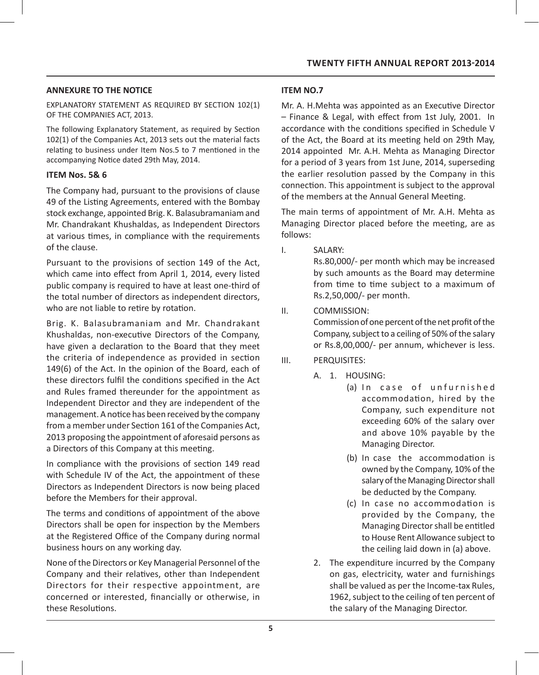### **ANNEXURE TO THE NOTICE**

EXPLANATORY STATEMENT AS REQUIRED BY SECTION 102(1) OF THE COMPANIES ACT, 2013.

The following Explanatory Statement, as required by Section 102(1) of the Companies Act, 2013 sets out the material facts relating to business under Item Nos.5 to 7 mentioned in the accompanying Notice dated 29th May, 2014.

### **ITEM Nos. 5& 6**

The Company had, pursuant to the provisions of clause 49 of the Listing Agreements, entered with the Bombay stock exchange, appointed Brig. K. Balasubramaniam and Mr. Chandrakant Khushaldas, as Independent Directors at various times, in compliance with the requirements of the clause.

Pursuant to the provisions of section 149 of the Act, which came into effect from April 1, 2014, every listed public company is required to have at least one-third of the total number of directors as independent directors, who are not liable to retire by rotation.

Brig. K. Balasubramaniam and Mr. Chandrakant Khushaldas, non-executive Directors of the Company, have given a declaration to the Board that they meet the criteria of independence as provided in section 149(6) of the Act. In the opinion of the Board, each of these directors fulfil the conditions specified in the Act and Rules framed thereunder for the appointment as Independent Director and they are independent of the management. A notice has been received by the company from a member under Section 161 of the Companies Act, 2013 proposing the appointment of aforesaid persons as a Directors of this Company at this meeting.

In compliance with the provisions of section 149 read with Schedule IV of the Act, the appointment of these Directors as Independent Directors is now being placed before the Members for their approval.

The terms and conditions of appointment of the above Directors shall be open for inspection by the Members at the Registered Office of the Company during normal business hours on any working day.

None of the Directors or Key Managerial Personnel of the Company and their relatives, other than Independent Directors for their respective appointment, are concerned or interested, financially or otherwise, in these Resolutions.

### **ITEM NO.7**

Mr. A. H.Mehta was appointed as an Executive Director – Finance & Legal, with effect from 1st July, 2001. In accordance with the conditions specified in Schedule V of the Act, the Board at its meeting held on 29th May, 2014 appointed Mr. A.H. Mehta as Managing Director for a period of 3 years from 1st June, 2014, superseding the earlier resolution passed by the Company in this connection. This appointment is subject to the approval of the members at the Annual General Meeting.

The main terms of appointment of Mr. A.H. Mehta as Managing Director placed before the meeting, are as follows:

I. SALARY:

Rs.80,000/- per month which may be increased by such amounts as the Board may determine from time to time subject to a maximum of Rs.2,50,000/- per month.

II. COMMISSION:

Commission of one percent of the net profit of the Company, subject to a ceiling of 50% of the salary or Rs.8,00,000/- per annum, whichever is less.

- III. PERQUISITES:
	- A. 1. HOUSING:
		- (a) In case of unfurnished accommodation, hired by the Company, such expenditure not exceeding 60% of the salary over and above 10% payable by the Managing Director.
		- (b) In case the accommodation is owned by the Company, 10% of the salary of the Managing Director shall be deducted by the Company.
		- (c) In case no accommodation is provided by the Company, the Managing Director shall be entitled to House Rent Allowance subject to the ceiling laid down in (a) above.
	- 2. The expenditure incurred by the Company on gas, electricity, water and furnishings shall be valued as per the Income-tax Rules, 1962, subject to the ceiling of ten percent of the salary of the Managing Director.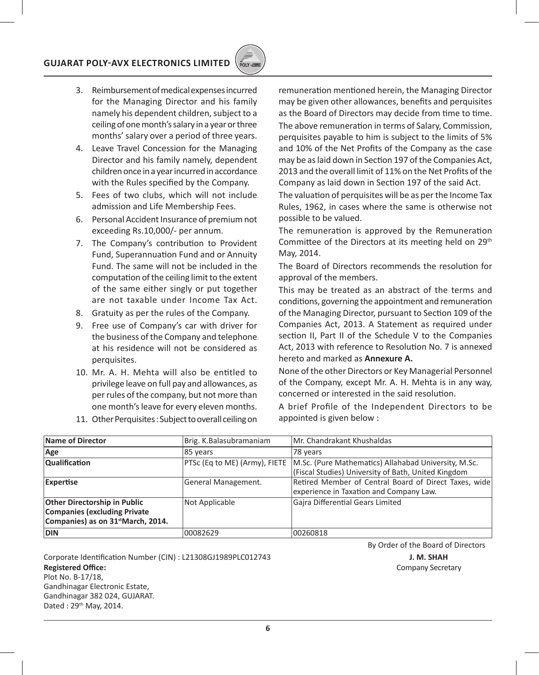

- 3. Reimbursement of medical expenses incurred for the Managing Director and his family namely his dependent children, subject to a ceiling of one month's salary in a year or three months' salary over a period of three years.
- 4. Leave Travel Concession for the Managing Director and his family namely, dependent children once in a year incurred in accordance with the Rules specified by the Company.
- 5. Fees of two clubs, which will not include admission and Life Membership Fees.
- 6. Personal Accident Insurance of premium not exceeding Rs.10,000/- per annum.
- 7. The Company's contribution to Provident Fund, Superannuation Fund and or Annuity Fund. The same will not be included in the computation of the ceiling limit to the extent of the same either singly or put together are not taxable under Income Tax Act.
- 8. Gratuity as per the rules of the Company.
- 9. Free use of Company's car with driver for the business of the Company and telephone at his residence will not be considered as perquisites.
- 10. Mr. A. H. Mehta will also be entitled to privilege leave on full pay and allowances, as per rules of the company, but not more than one month's leave for every eleven months.
- 11. Other Perquisites : Subject to overall ceiling on

remuneration mentioned herein, the Managing Director may be given other allowances, benefits and perquisites as the Board of Directors may decide from time to time. The above remuneration in terms of Salary, Commission, perquisites payable to him is subject to the limits of 5% and 10% of the Net Profits of the Company as the case may be as laid down in Section 197 of the Companies Act, 2013 and the overall limit of 11% on the Net Profits of the Company as laid down in Section 197 of the said Act.

The valuation of perquisites will be as per the Income Tax Rules, 1962, in cases where the same is otherwise not possible to be valued.

The remuneration is approved by the Remuneration Committee of the Directors at its meeting held on 29<sup>th</sup> May, 2014.

The Board of Directors recommends the resolution for approval of the members.

This may be treated as an abstract of the terms and conditions, governing the appointment and remuneration of the Managing Director, pursuant to Section 109 of the Companies Act, 2013. A Statement as required under section II, Part II of the Schedule V to the Companies Act, 2013 with reference to Resolution No. 7 is annexed hereto and marked as **Annexure A.**

None of the other Directors or Key Managerial Personnel of the Company, except Mr. A. H. Mehta is in any way, concerned or interested in the said resolution.

A brief Profile of the Independent Directors to be appointed is given below :

| Name of Director                                                                                                             | Brig. K.Balasubramaniam | Mr. Chandrakant Khushaldas                                                                                  |  |
|------------------------------------------------------------------------------------------------------------------------------|-------------------------|-------------------------------------------------------------------------------------------------------------|--|
| Age                                                                                                                          | 85 years                | 78 years                                                                                                    |  |
| <b>Qualification</b><br>PTSc (Eq to ME) (Army), FIETE                                                                        |                         | M.Sc. (Pure Mathematics) Allahabad University, M.Sc.<br>(Fiscal Studies) University of Bath, United Kingdom |  |
| Expertise                                                                                                                    | General Management.     | Retired Member of Central Board of Direct Taxes, wide<br>experience in Taxation and Company Law.            |  |
| <b>Other Directorship in Public</b><br><b>Companies (excluding Private</b><br>Companies) as on 31 <sup>st</sup> March, 2014. | Not Applicable          | Gaira Differential Gears Limited                                                                            |  |
| DIN                                                                                                                          | 00082629                | 00260818                                                                                                    |  |

Corporate Identification Number (CIN) : L21308GJ1989PLC012743 **J. M. SHAH Registered Office:** Company Secretary Plot No. B-17/18, Gandhinagar Electronic Estate,

Gandhinagar 382 024, GUJARAT. Dated : 29th May, 2014.

By Order of the Board of Directors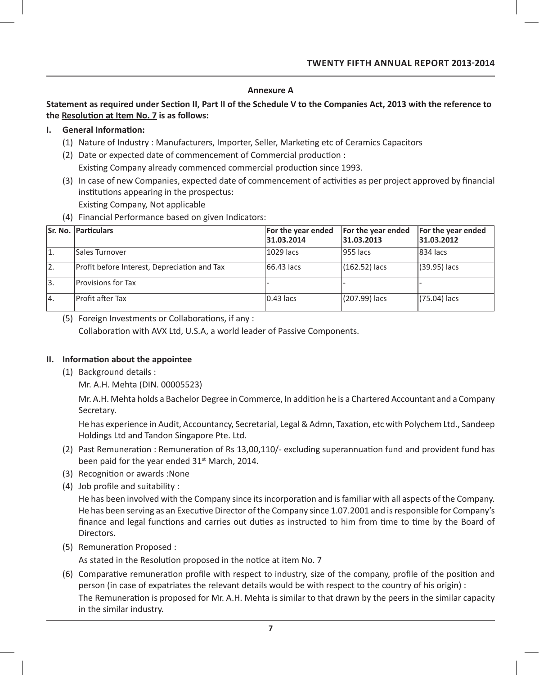### **Annexure A**

### **Statement as required under Section II, Part II of the Schedule V to the Companies Act, 2013 with the reference to the Resolution at Item No. 7 is as follows:**

### **I. General Information:**

- (1) Nature of Industry : Manufacturers, Importer, Seller, Marketing etc of Ceramics Capacitors
- (2) Date or expected date of commencement of Commercial production :
	- Existing Company already commenced commercial production since 1993.
- (3) In case of new Companies, expected date of commencement of activities as per project approved by financial institutions appearing in the prospectus: Existing Company, Not applicable
- (4) Financial Performance based on given Indicators:

|                  | Sr. No. Particulars                          | For the year ended<br>31.03.2014 | For the year ended<br>31.03.2013 | For the year ended<br>31.03.2012 |
|------------------|----------------------------------------------|----------------------------------|----------------------------------|----------------------------------|
| 11.              | Sales Turnover                               | 1029 lacs                        | $ 955 $ acs                      | $ 834 $ acs                      |
| $\overline{2}$ . | Profit before Interest, Depreciation and Tax | 66.43 lacs                       | $(162.52)$ lacs                  | $(39.95)$ lacs                   |
| 13.              | Provisions for Tax                           |                                  |                                  |                                  |
| 14.              | Profit after Tax                             | $0.43$ lacs                      | (207.99) lacs                    | $(75.04)$ lacs                   |

(5) Foreign Investments or Collaborations, if any :

Collaboration with AVX Ltd, U.S.A, a world leader of Passive Components.

### **II. Information about the appointee**

(1) Background details :

Mr. A.H. Mehta (DIN. 00005523)

Mr. A.H. Mehta holds a Bachelor Degree in Commerce, In addition he is a Chartered Accountant and a Company Secretary.

He has experience in Audit, Accountancy, Secretarial, Legal & Admn, Taxation, etc with Polychem Ltd., Sandeep Holdings Ltd and Tandon Singapore Pte. Ltd.

- (2) Past Remuneration : Remuneration of Rs 13,00,110/- excluding superannuation fund and provident fund has been paid for the year ended  $31^{st}$  March, 2014.
- (3) Recognition or awards :None
- (4) Job profile and suitability :

He has been involved with the Company since its incorporation and is familiar with all aspects of the Company. He has been serving as an Executive Director of the Company since 1.07.2001 and is responsible for Company's finance and legal functions and carries out duties as instructed to him from time to time by the Board of Directors.

(5) Remuneration Proposed :

As stated in the Resolution proposed in the notice at item No. 7

(6) Comparative remuneration profile with respect to industry, size of the company, profile of the position and person (in case of expatriates the relevant details would be with respect to the country of his origin) : The Remuneration is proposed for Mr. A.H. Mehta is similar to that drawn by the peers in the similar capacity in the similar industry.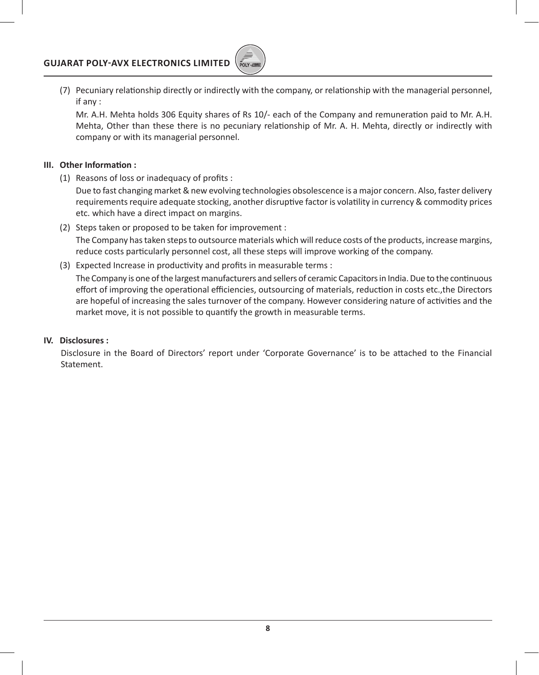(7) Pecuniary relationship directly or indirectly with the company, or relationship with the managerial personnel, if any :

 $\sqrt{2}$  $OIV.$   $AN$ 

Mr. A.H. Mehta holds 306 Equity shares of Rs 10/- each of the Company and remuneration paid to Mr. A.H. Mehta, Other than these there is no pecuniary relationship of Mr. A. H. Mehta, directly or indirectly with company or with its managerial personnel.

### **III. Other Information :**

(1) Reasons of loss or inadequacy of profits :

Due to fast changing market & new evolving technologies obsolescence is a major concern. Also, faster delivery requirements require adequate stocking, another disruptive factor is volatility in currency & commodity prices etc. which have a direct impact on margins.

- (2) Steps taken or proposed to be taken for improvement : The Company has taken steps to outsource materials which will reduce costs of the products, increase margins, reduce costs particularly personnel cost, all these steps will improve working of the company.
- (3) Expected Increase in productivity and profits in measurable terms :

The Company is one of the largest manufacturers and sellers of ceramic Capacitors in India. Due to the continuous effort of improving the operational efficiencies, outsourcing of materials, reduction in costs etc.,the Directors are hopeful of increasing the sales turnover of the company. However considering nature of activities and the market move, it is not possible to quantify the growth in measurable terms.

### **IV. Disclosures :**

Disclosure in the Board of Directors' report under 'Corporate Governance' is to be attached to the Financial Statement.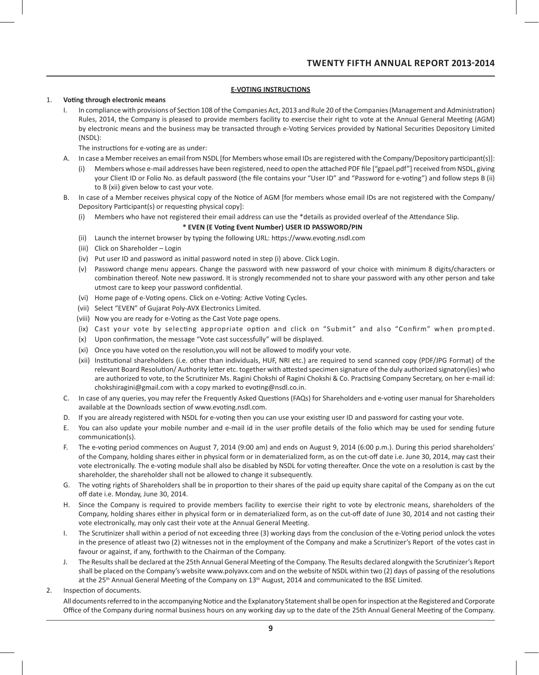### **E-VOTING INSTRUCTIONS**

#### 1. **Voting through electronic means**

In compliance with provisions of Section 108 of the Companies Act, 2013 and Rule 20 of the Companies (Management and Administration) Rules, 2014, the Company is pleased to provide members facility to exercise their right to vote at the Annual General Meeting (AGM) by electronic means and the business may be transacted through e-Voting Services provided by National Securities Depository Limited (NSDL):

The instructions for e-voting are as under:

- A. In case a Member receives an email from NSDL [for Members whose email IDs are registered with the Company/Depository participant(s)]:
	- (i) Members whose e-mail addresses have been registered, need to open the attached PDF file ["gpael.pdf"] received from NSDL, giving your Client ID or Folio No. as default password (the file contains your "User ID" and "Password for e-voting") and follow steps B (ii) to B (xii) given below to cast your vote.
- B. In case of a Member receives physical copy of the Notice of AGM [for members whose email IDs are not registered with the Company/ Depository Participant(s) or requesting physical copy]:
	- (i) Members who have not registered their email address can use the \*details as provided overleaf of the Attendance Slip.

### **\* EVEN (E Voting Event Number) USER ID PASSWORD/PIN**

- (ii) Launch the internet browser by typing the following URL: https://www.evoting.nsdl.com
- (iii) Click on Shareholder Login
- (iv) Put user ID and password as initial password noted in step (i) above. Click Login.
- (v) Password change menu appears. Change the password with new password of your choice with minimum 8 digits/characters or combination thereof. Note new password. It is strongly recommended not to share your password with any other person and take utmost care to keep your password confidential.
- (vi) Home page of e-Voting opens. Click on e-Voting: Active Voting Cycles.
- (vii) Select "EVEN" of Gujarat Poly-AVX Electronics Limited.
- (viii) Now you are ready for e-Voting as the Cast Vote page opens.
- (ix) Cast your vote by selecting appropriate option and click on "Submit" and also "Confirm" when prompted.
- (x) Upon confirmation, the message "Vote cast successfully" will be displayed.
- (xi) Once you have voted on the resolution,you will not be allowed to modify your vote.
- (xii) Institutional shareholders (i.e. other than individuals, HUF, NRI etc.) are required to send scanned copy (PDF/JPG Format) of the relevant Board Resolution/ Authority letter etc. together with attested specimen signature of the duly authorized signatory(ies) who are authorized to vote, to the Scrutinizer Ms. Ragini Chokshi of Ragini Chokshi & Co. Practising Company Secretary, on her e-mail id: chokshiragini@gmail.com with a copy marked to evoting@nsdl.co.in.
- C. In case of any queries, you may refer the Frequently Asked Questions (FAQs) for Shareholders and e-voting user manual for Shareholders available at the Downloads section of www.evoting.nsdl.com.
- D. If you are already registered with NSDL for e-voting then you can use your existing user ID and password for casting your vote.
- E. You can also update your mobile number and e-mail id in the user profile details of the folio which may be used for sending future communication(s).
- F. The e-voting period commences on August 7, 2014 (9:00 am) and ends on August 9, 2014 (6:00 p.m.). During this period shareholders' of the Company, holding shares either in physical form or in dematerialized form, as on the cut-off date i.e. June 30, 2014, may cast their vote electronically. The e-voting module shall also be disabled by NSDL for voting thereafter. Once the vote on a resolution is cast by the shareholder, the shareholder shall not be allowed to change it subsequently.
- G. The voting rights of Shareholders shall be in proportion to their shares of the paid up equity share capital of the Company as on the cut off date i.e. Monday, June 30, 2014.
- H. Since the Company is required to provide members facility to exercise their right to vote by electronic means, shareholders of the Company, holding shares either in physical form or in dematerialized form, as on the cut-off date of June 30, 2014 and not casting their vote electronically, may only cast their vote at the Annual General Meeting.
- I. The Scrutinizer shall within a period of not exceeding three (3) working days from the conclusion of the e-Voting period unlock the votes in the presence of atleast two (2) witnesses not in the employment of the Company and make a Scrutinizer's Report of the votes cast in favour or against, if any, forthwith to the Chairman of the Company.
- J. The Results shall be declared at the 25th Annual General Meeting of the Company. The Results declared alongwith the Scrutinizer's Report shall be placed on the Company's website www.polyavx.com and on the website of NSDL within two (2) days of passing of the resolutions at the 25<sup>th</sup> Annual General Meeting of the Company on 13<sup>th</sup> August, 2014 and communicated to the BSE Limited.
- 2. Inspection of documents.

All documents referred to in the accompanying Notice and the Explanatory Statement shall be open for inspection at the Registered and Corporate Office of the Company during normal business hours on any working day up to the date of the 25th Annual General Meeting of the Company.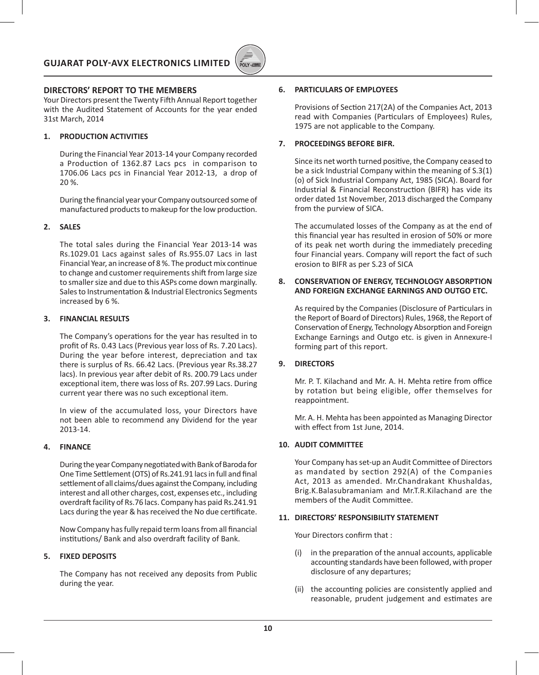

### **DIRECTORS' REPORT TO THE MEMBERS**

Your Directors present the Twenty Fifth Annual Report together with the Audited Statement of Accounts for the year ended 31st March, 2014

### **1. PRODUCTION ACTIVITIES**

During the Financial Year 2013-14 your Company recorded a Production of 1362.87 Lacs pcs in comparison to 1706.06 Lacs pcs in Financial Year 2012-13, a drop of 20 %.

During the financial year your Company outsourced some of manufactured products to makeup for the low production.

### **2. SALES**

The total sales during the Financial Year 2013-14 was Rs.1029.01 Lacs against sales of Rs.955.07 Lacs in last Financial Year, an increase of 8 %. The product mix continue to change and customer requirements shift from large size to smaller size and due to this ASPs come down marginally. Sales to Instrumentation & Industrial Electronics Segments increased by 6 %.

### **3. FINANCIAL RESULTS**

The Company's operations for the year has resulted in to profit of Rs. 0.43 Lacs (Previous year loss of Rs. 7.20 Lacs). During the year before interest, depreciation and tax there is surplus of Rs. 66.42 Lacs. (Previous year Rs.38.27 lacs). In previous year after debit of Rs. 200.79 Lacs under exceptional item, there was loss of Rs. 207.99 Lacs. During current year there was no such exceptional item.

In view of the accumulated loss, your Directors have not been able to recommend any Dividend for the year 2013-14.

### **4. FINANCE**

During the year Company negotiated with Bank of Baroda for One Time Settlement (OTS) of Rs.241.91 lacs in full and final settlement of all claims/dues against the Company, including interest and all other charges, cost, expenses etc., including overdraft facility of Rs.76 lacs. Company has paid Rs.241.91 Lacs during the year & has received the No due certificate.

Now Company has fully repaid term loans from all financial institutions/ Bank and also overdraft facility of Bank.

### **5. FIXED DEPOSITS**

The Company has not received any deposits from Public during the year.

### **6. PARTICULARS OF EMPLOYEES**

Provisions of Section 217(2A) of the Companies Act, 2013 read with Companies (Particulars of Employees) Rules, 1975 are not applicable to the Company.

### **7. PROCEEDINGS BEFORE BIFR.**

Since its net worth turned positive, the Company ceased to be a sick Industrial Company within the meaning of S.3(1) (o) of Sick Industrial Company Act, 1985 (SICA). Board for Industrial & Financial Reconstruction (BIFR) has vide its order dated 1st November, 2013 discharged the Company from the purview of SICA.

The accumulated losses of the Company as at the end of this financial year has resulted in erosion of 50% or more of its peak net worth during the immediately preceding four Financial years. Company will report the fact of such erosion to BIFR as per S.23 of SICA

### **8. CONSERVATION OF ENERGY, TECHNOLOGY ABSORPTION AND FOREIGN EXCHANGE EARNINGS AND OUTGO ETC.**

As required by the Companies (Disclosure of Particulars in the Report of Board of Directors) Rules, 1968, the Report of Conservation of Energy, Technology Absorption and Foreign Exchange Earnings and Outgo etc. is given in Annexure-I forming part of this report.

### **9. DIRECTORS**

Mr. P. T. Kilachand and Mr. A. H. Mehta retire from office by rotation but being eligible, offer themselves for reappointment.

Mr. A. H. Mehta has been appointed as Managing Director with effect from 1st June, 2014.

### **10. AUDIT COMMITTEE**

Your Company has set-up an Audit Committee of Directors as mandated by section 292(A) of the Companies Act, 2013 as amended. Mr.Chandrakant Khushaldas, Brig.K.Balasubramaniam and Mr.T.R.Kilachand are the members of the Audit Committee.

### **11. DIRECTORS' RESPONSIBILITY STATEMENT**

Your Directors confirm that :

- (i) in the preparation of the annual accounts, applicable accounting standards have been followed, with proper disclosure of any departures;
- (ii) the accounting policies are consistently applied and reasonable, prudent judgement and estimates are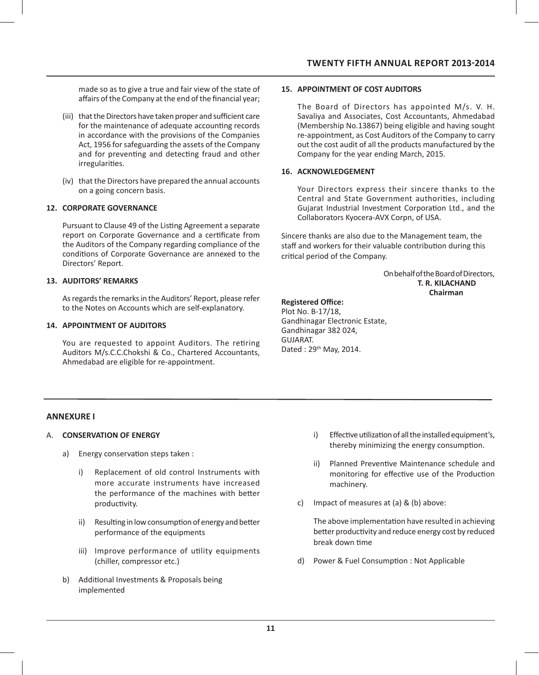made so as to give a true and fair view of the state of affairs of the Company at the end of the financial year;

- (iii) that the Directors have taken proper and sufficient care for the maintenance of adequate accounting records in accordance with the provisions of the Companies Act, 1956 for safeguarding the assets of the Company and for preventing and detecting fraud and other irregularities.
- (iv) that the Directors have prepared the annual accounts on a going concern basis.

### **12. CORPORATE GOVERNANCE**

Pursuant to Clause 49 of the Listing Agreement a separate report on Corporate Governance and a certificate from the Auditors of the Company regarding compliance of the conditions of Corporate Governance are annexed to the Directors' Report.

### **13. AUDITORS' REMARKS**

As regards the remarks in the Auditors' Report, please refer to the Notes on Accounts which are self-explanatory.

### **14. APPOINTMENT OF AUDITORS**

You are requested to appoint Auditors. The retiring Auditors M/s.C.C.Chokshi & Co., Chartered Accountants, Ahmedabad are eligible for re-appointment.

### **15. APPOINTMENT OF COST AUDITORS**

The Board of Directors has appointed M/s. V. H. Savaliya and Associates, Cost Accountants, Ahmedabad (Membership No.13867) being eligible and having sought re-appointment, as Cost Auditors of the Company to carry out the cost audit of all the products manufactured by the Company for the year ending March, 2015.

### **16. ACKNOWLEDGEMENT**

Your Directors express their sincere thanks to the Central and State Government authorities, including Gujarat Industrial Investment Corporation Ltd., and the Collaborators Kyocera-AVX Corpn, of USA.

Sincere thanks are also due to the Management team, the staff and workers for their valuable contribution during this critical period of the Company.

> On behalf of the Board of Directors, **T. R. KILACHAND Chairman**

### **Registered Office:**

Plot No. B-17/18, Gandhinagar Electronic Estate, Gandhinagar 382 024, GUJARAT. Dated : 29th May, 2014.

### **ANNEXURE I**

### A. **CONSERVATION OF ENERGY**

- a) Energy conservation steps taken :
	- i) Replacement of old control Instruments with more accurate instruments have increased the performance of the machines with better productivity.
	- ii) Resulting in low consumption of energy and better performance of the equipments
	- iii) Improve performance of utility equipments (chiller, compressor etc.)
- b) Additional Investments & Proposals being implemented
- i) Effective utilization of all the installed equipment's, thereby minimizing the energy consumption.
- ii) Planned Preventive Maintenance schedule and monitoring for effective use of the Production machinery.
- c) Impact of measures at (a) & (b) above:

The above implementation have resulted in achieving better productivity and reduce energy cost by reduced break down time

d) Power & Fuel Consumption : Not Applicable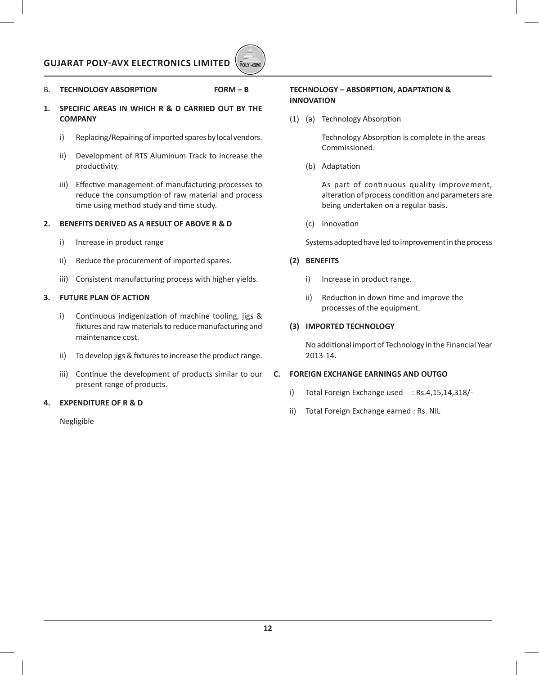

### B. **TECHNOLOGY ABSORPTION FORM – B**

### **1. SPECIFIC AREAS IN WHICH R & D CARRIED OUT BY THE COMPANY**

- i) Replacing/Repairing of imported spares by local vendors.
- ii) Development of RTS Aluminum Track to increase the productivity.
- iii) Effective management of manufacturing processes to reduce the consumption of raw material and process time using method study and time study.

### **2. BENEFITS DERIVED AS A RESULT OF ABOVE R & D**

- i) Increase in product range
- ii) Reduce the procurement of imported spares.
- iii) Consistent manufacturing process with higher yields.

### **3. FUTURE PLAN OF ACTION**

- i) Continuous indigenization of machine tooling, jigs & fixtures and raw materials to reduce manufacturing and maintenance cost.
- ii) To develop jigs & fixtures to increase the product range.
- iii) Continue the development of products similar to our present range of products.

### **4. EXPENDITURE OF R & D**

Negligible

### **TECHNOLOGY – ABSORPTION, ADAPTATION & INNOVATION**

(1) (a) Technology Absorption

Technology Absorption is complete in the areas Commissioned.

(b) Adaptation

As part of continuous quality improvement, alteration of process condition and parameters are being undertaken on a regular basis.

(c) Innovation

Systems adopted have led to improvement in the process

### **(2) BENEFITS**

- i) Increase in product range.
- ii) Reduction in down time and improve the processes of the equipment.

### **(3) IMPORTED TECHNOLOGY**

No additional import of Technology in the Financial Year 2013-14.

### **C. FOREIGN EXCHANGE EARNINGS AND OUTGO**

- i) Total Foreign Exchange used : Rs.4,15,14,318/-
- ii) Total Foreign Exchange earned : Rs. NIL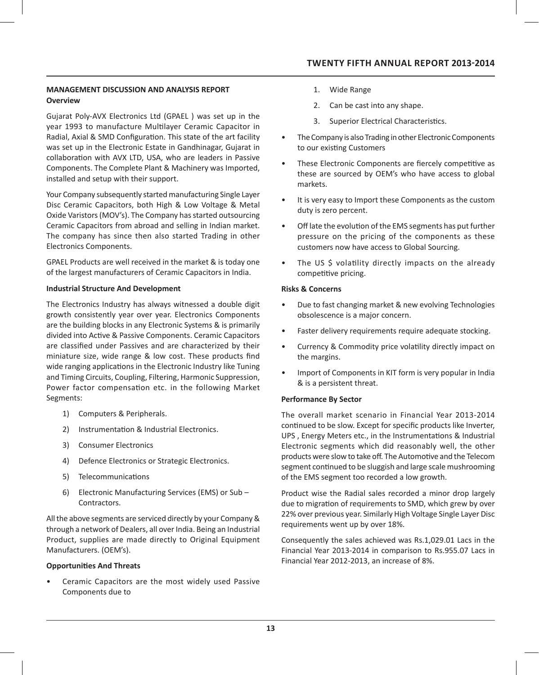### **Twenty FIFTH Annual Report 2013-2014**

### **MANAGEMENT DISCUSSION AND ANALYSIS REPORT Overview**

Gujarat Poly-AVX Electronics Ltd (GPAEL ) was set up in the year 1993 to manufacture Multilayer Ceramic Capacitor in Radial, Axial & SMD Configuration. This state of the art facility was set up in the Electronic Estate in Gandhinagar, Gujarat in collaboration with AVX LTD, USA, who are leaders in Passive Components. The Complete Plant & Machinery was Imported, installed and setup with their support.

Your Company subsequently started manufacturing Single Layer Disc Ceramic Capacitors, both High & Low Voltage & Metal Oxide Varistors (MOV's). The Company has started outsourcing Ceramic Capacitors from abroad and selling in Indian market. The company has since then also started Trading in other Electronics Components.

GPAEL Products are well received in the market & is today one of the largest manufacturers of Ceramic Capacitors in India.

### **Industrial Structure And Development**

The Electronics Industry has always witnessed a double digit growth consistently year over year. Electronics Components are the building blocks in any Electronic Systems & is primarily divided into Active & Passive Components. Ceramic Capacitors are classified under Passives and are characterized by their miniature size, wide range & low cost. These products find wide ranging applications in the Electronic Industry like Tuning and Timing Circuits, Coupling, Filtering, Harmonic Suppression, Power factor compensation etc. in the following Market Segments:

- 1) Computers & Peripherals.
- 2) Instrumentation & Industrial Electronics.
- 3) Consumer Electronics
- 4) Defence Electronics or Strategic Electronics.
- 5) Telecommunications
- 6) Electronic Manufacturing Services (EMS) or Sub Contractors.

All the above segments are serviced directly by your Company & through a network of Dealers, all over India. Being an Industrial Product, supplies are made directly to Original Equipment Manufacturers. (OEM's).

### **Opportunities And Threats**

• Ceramic Capacitors are the most widely used Passive Components due to

- 1. Wide Range
- 2. Can be cast into any shape.
- 3. Superior Electrical Characteristics.
- The Company is also Trading in other Electronic Components to our existing Customers
- These Electronic Components are fiercely competitive as these are sourced by OEM's who have access to global markets.
- It is very easy to Import these Components as the custom duty is zero percent.
- Off late the evolution of the EMS segments has put further pressure on the pricing of the components as these customers now have access to Global Sourcing.
- The US \$ volatility directly impacts on the already competitive pricing.

### **Risks & Concerns**

- Due to fast changing market & new evolving Technologies obsolescence is a major concern.
- Faster delivery requirements require adequate stocking.
- Currency & Commodity price volatility directly impact on the margins.
- Import of Components in KIT form is very popular in India & is a persistent threat.

### **Performance By Sector**

The overall market scenario in Financial Year 2013-2014 continued to be slow. Except for specific products like Inverter, UPS , Energy Meters etc., in the Instrumentations & Industrial Electronic segments which did reasonably well, the other products were slow to take off. The Automotive and the Telecom segment continued to be sluggish and large scale mushrooming of the EMS segment too recorded a low growth.

Product wise the Radial sales recorded a minor drop largely due to migration of requirements to SMD, which grew by over 22% over previous year. Similarly High Voltage Single Layer Disc requirements went up by over 18%.

Consequently the sales achieved was Rs.1,029.01 Lacs in the Financial Year 2013-2014 in comparison to Rs.955.07 Lacs in Financial Year 2012-2013, an increase of 8%.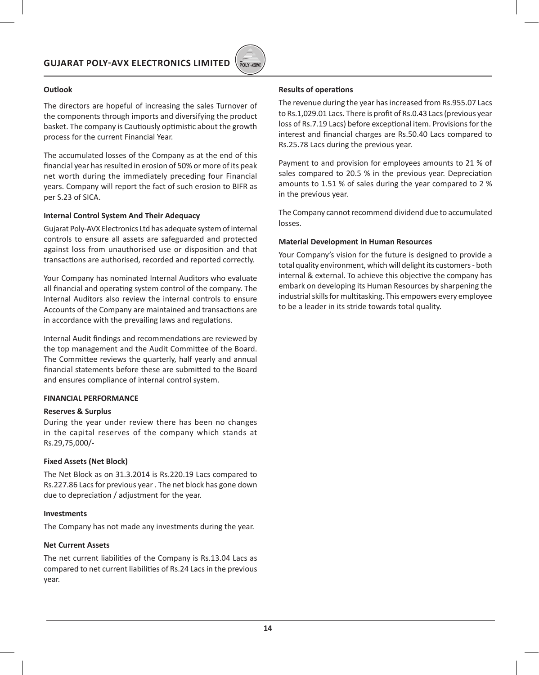

### **Outlook**

The directors are hopeful of increasing the sales Turnover of the components through imports and diversifying the product basket. The company is Cautiously optimistic about the growth process for the current Financial Year.

The accumulated losses of the Company as at the end of this financial year has resulted in erosion of 50% or more of its peak net worth during the immediately preceding four Financial years. Company will report the fact of such erosion to BIFR as per S.23 of SICA.

### **Internal Control System And Their Adequacy**

Gujarat Poly-AVX Electronics Ltd has adequate system of internal controls to ensure all assets are safeguarded and protected against loss from unauthorised use or disposition and that transactions are authorised, recorded and reported correctly.

Your Company has nominated Internal Auditors who evaluate all financial and operating system control of the company. The Internal Auditors also review the internal controls to ensure Accounts of the Company are maintained and transactions are in accordance with the prevailing laws and regulations.

Internal Audit findings and recommendations are reviewed by the top management and the Audit Committee of the Board. The Committee reviews the quarterly, half yearly and annual financial statements before these are submitted to the Board and ensures compliance of internal control system.

### **FINANCIAL PERFORMANCE**

### **Reserves & Surplus**

During the year under review there has been no changes in the capital reserves of the company which stands at Rs.29,75,000/-

### **Fixed Assets (Net Block)**

The Net Block as on 31.3.2014 is Rs.220.19 Lacs compared to Rs.227.86 Lacs for previous year . The net block has gone down due to depreciation / adjustment for the year.

### **Investments**

The Company has not made any investments during the year.

### **Net Current Assets**

The net current liabilities of the Company is Rs.13.04 Lacs as compared to net current liabilities of Rs.24 Lacs in the previous year.

### **Results of operations**

The revenue during the year has increased from Rs.955.07 Lacs to Rs.1,029.01 Lacs. There is profit of Rs.0.43 Lacs (previous year loss of Rs.7.19 Lacs) before exceptional item. Provisions for the interest and financial charges are Rs.50.40 Lacs compared to Rs.25.78 Lacs during the previous year.

Payment to and provision for employees amounts to 21 % of sales compared to 20.5 % in the previous year. Depreciation amounts to 1.51 % of sales during the year compared to 2 % in the previous year.

The Company cannot recommend dividend due to accumulated losses.

### **Material Development in Human Resources**

Your Company's vision for the future is designed to provide a total quality environment, which will delight its customers - both internal & external. To achieve this objective the company has embark on developing its Human Resources by sharpening the industrial skills for multitasking. This empowers every employee to be a leader in its stride towards total quality.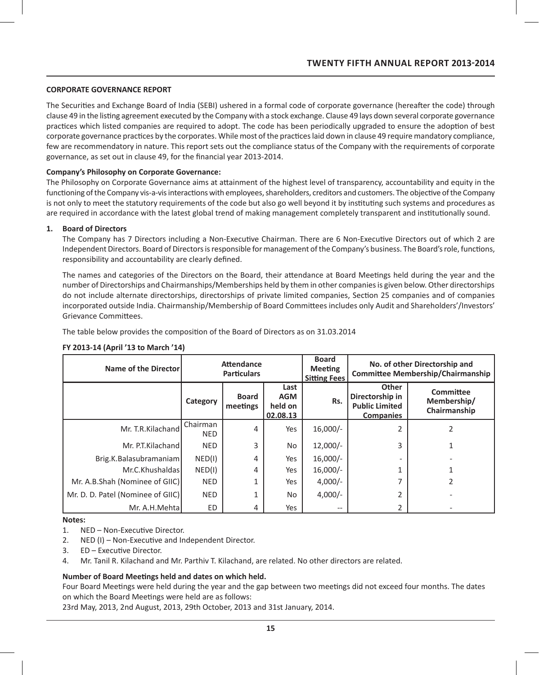### **CORPORATE GOVERNANCE REPORT**

The Securities and Exchange Board of India (SEBI) ushered in a formal code of corporate governance (hereafter the code) through clause 49 in the listing agreement executed by the Company with a stock exchange. Clause 49 lays down several corporate governance practices which listed companies are required to adopt. The code has been periodically upgraded to ensure the adoption of best corporate governance practices by the corporates. While most of the practices laid down in clause 49 require mandatory compliance, few are recommendatory in nature. This report sets out the compliance status of the Company with the requirements of corporate governance, as set out in clause 49, for the financial year 2013-2014.

### **Company's Philosophy on Corporate Governance:**

The Philosophy on Corporate Governance aims at attainment of the highest level of transparency, accountability and equity in the functioning of the Company vis-a-vis interactions with employees, shareholders, creditors and customers. The objective of the Company is not only to meet the statutory requirements of the code but also go well beyond it by instituting such systems and procedures as are required in accordance with the latest global trend of making management completely transparent and institutionally sound.

### **1. Board of Directors**

The Company has 7 Directors including a Non-Executive Chairman. There are 6 Non-Executive Directors out of which 2 are Independent Directors. Board of Directors is responsible for management of the Company's business. The Board's role, functions, responsibility and accountability are clearly defined.

The names and categories of the Directors on the Board, their attendance at Board Meetings held during the year and the number of Directorships and Chairmanships/Memberships held by them in other companies is given below. Other directorships do not include alternate directorships, directorships of private limited companies, Section 25 companies and of companies incorporated outside India. Chairmanship/Membership of Board Committees includes only Audit and Shareholders'/Investors' Grievance Committees.

The table below provides the composition of the Board of Directors as on 31.03.2014

### **FY 2013-14 (April '13 to March '14)**

| Name of the Director              | <b>Attendance</b><br><b>Particulars</b> |                          |                                           | <b>Board</b><br><b>Meeting</b><br><b>Sitting Fees</b> | No. of other Directorship and<br><b>Committee Membership/Chairmanship</b> |                                          |
|-----------------------------------|-----------------------------------------|--------------------------|-------------------------------------------|-------------------------------------------------------|---------------------------------------------------------------------------|------------------------------------------|
|                                   | Category                                | <b>Board</b><br>meetings | Last<br><b>AGM</b><br>held on<br>02.08.13 | Rs.                                                   | Other<br>Directorship in<br><b>Public Limited</b><br><b>Companies</b>     | Committee<br>Membership/<br>Chairmanship |
| Mr. T.R.Kilachand                 | Chairman<br><b>NED</b>                  | 4                        | Yes                                       | $16,000/-$                                            | 2                                                                         |                                          |
| Mr. P.T.Kilachand                 | <b>NED</b>                              | 3                        | No                                        | $12,000/-$                                            | 3                                                                         |                                          |
| Brig.K.Balasubramaniam            | NED(1)                                  | 4                        | Yes                                       | $16,000/-$                                            |                                                                           |                                          |
| Mr.C.Khushaldas                   | NED(I)                                  | 4                        | Yes                                       | $16,000/-$                                            | $\overline{\phantom{a}}$                                                  |                                          |
| Mr. A.B.Shah (Nominee of GIIC)    | <b>NED</b>                              |                          | Yes                                       | $4,000/-$                                             | ⇁                                                                         |                                          |
| Mr. D. D. Patel (Nominee of GIIC) | <b>NED</b>                              |                          | No                                        | $4,000/-$                                             | 2                                                                         |                                          |
| Mr. A.H.Mehtal                    | ED                                      | 4                        | Yes                                       | $- -$                                                 |                                                                           |                                          |

**Notes:**

1. NED – Non-Executive Director.

2. NED (I) – Non-Executive and Independent Director.

3. ED – Executive Director.

4. Mr. Tanil R. Kilachand and Mr. Parthiv T. Kilachand, are related. No other directors are related.

### **Number of Board Meetings held and dates on which held.**

Four Board Meetings were held during the year and the gap between two meetings did not exceed four months. The dates on which the Board Meetings were held are as follows:

23rd May, 2013, 2nd August, 2013, 29th October, 2013 and 31st January, 2014.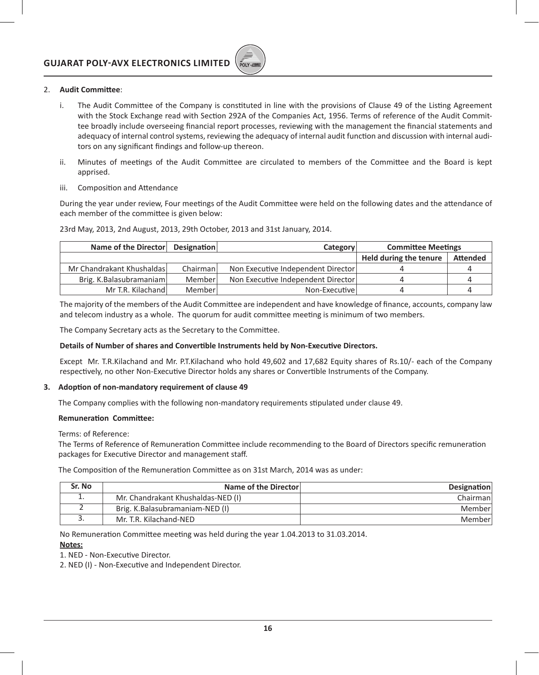### 2. **Audit Committee**:

i. The Audit Committee of the Company is constituted in line with the provisions of Clause 49 of the Listing Agreement with the Stock Exchange read with Section 292A of the Companies Act, 1956. Terms of reference of the Audit Committee broadly include overseeing financial report processes, reviewing with the management the financial statements and adequacy of internal control systems, reviewing the adequacy of internal audit function and discussion with internal auditors on any significant findings and follow-up thereon.

 $\sqrt{2}$  $OIV.$   $AN$ 

ii. Minutes of meetings of the Audit Committee are circulated to members of the Committee and the Board is kept apprised.

### iii. Composition and Attendance

During the year under review, Four meetings of the Audit Committee were held on the following dates and the attendance of each member of the committee is given below:

23rd May, 2013, 2nd August, 2013, 29th October, 2013 and 31st January, 2014.

| Name of the Director      | <b>Designation</b> | <b>Category</b>                    | <b>Committee Meetings</b> |                 |
|---------------------------|--------------------|------------------------------------|---------------------------|-----------------|
|                           |                    |                                    | Held during the tenure    | <b>Attended</b> |
| Mr Chandrakant Khushaldas | Chairman           | Non Executive Independent Director |                           |                 |
| Brig. K.Balasubramaniam   | Memberl            | Non Executive Independent Director |                           |                 |
| Mr T.R. Kilachand         | Memberl            | Non-Executivel                     |                           |                 |

The majority of the members of the Audit Committee are independent and have knowledge of finance, accounts, company law and telecom industry as a whole. The quorum for audit committee meeting is minimum of two members.

The Company Secretary acts as the Secretary to the Committee.

### **Details of Number of shares and Convertible Instruments held by Non-Executive Directors.**

Except Mr. T.R.Kilachand and Mr. P.T.Kilachand who hold 49,602 and 17,682 Equity shares of Rs.10/- each of the Company respectively, no other Non-Executive Director holds any shares or Convertible Instruments of the Company.

### **3. Adoption of non-mandatory requirement of clause 49**

The Company complies with the following non-mandatory requirements stipulated under clause 49.

### **Remuneration Committee:**

Terms: of Reference:

The Terms of Reference of Remuneration Committee include recommending to the Board of Directors specific remuneration packages for Executive Director and management staff.

The Composition of the Remuneration Committee as on 31st March, 2014 was as under:

| Sr. No | Name of the Director               | Designation |
|--------|------------------------------------|-------------|
|        | Mr. Chandrakant Khushaldas-NED (I) | Chairman    |
|        | Brig. K.Balasubramaniam-NED (I)    | Memberl     |
|        | Mr. T.R. Kilachand-NED             | Memberl     |

No Remuneration Committee meeting was held during the year 1.04.2013 to 31.03.2014.

**Notes:**

1. NED - Non-Executive Director.

2. NED (I) - Non-Executive and Independent Director.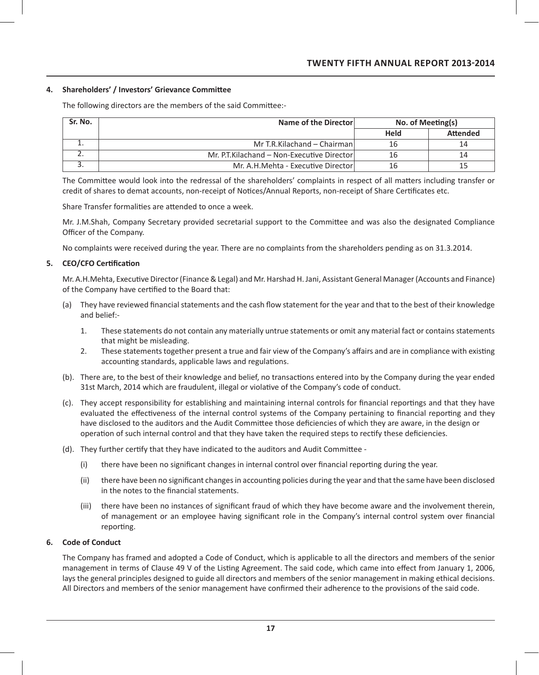### **4. Shareholders' / Investors' Grievance Committee**

The following directors are the members of the said Committee:-

| Sr. No.  | Name of the Director<br>No. of Meeting(s)  |      |                 |
|----------|--------------------------------------------|------|-----------------|
|          |                                            | Held | <b>Attended</b> |
| <b>.</b> | Mr T.R.Kilachand – Chairmanl               |      | 14              |
|          | Mr. P.T.Kilachand - Non-Executive Director | 16   | 14              |
|          | Mr. A.H.Mehta - Executive Director         |      |                 |

The Committee would look into the redressal of the shareholders' complaints in respect of all matters including transfer or credit of shares to demat accounts, non-receipt of Notices/Annual Reports, non-receipt of Share Certificates etc.

Share Transfer formalities are attended to once a week.

Mr. J.M.Shah, Company Secretary provided secretarial support to the Committee and was also the designated Compliance Officer of the Company.

No complaints were received during the year. There are no complaints from the shareholders pending as on 31.3.2014.

### **5. CEO/CFO Certification**

Mr. A.H.Mehta, Executive Director (Finance & Legal) and Mr. Harshad H. Jani, Assistant General Manager (Accounts and Finance) of the Company have certified to the Board that:

- (a) They have reviewed financial statements and the cash flow statement for the year and that to the best of their knowledge and belief:-
	- 1. These statements do not contain any materially untrue statements or omit any material fact or contains statements that might be misleading.
	- 2. These statements together present a true and fair view of the Company's affairs and are in compliance with existing accounting standards, applicable laws and regulations.
- (b). There are, to the best of their knowledge and belief, no transactions entered into by the Company during the year ended 31st March, 2014 which are fraudulent, illegal or violative of the Company's code of conduct.
- (c). They accept responsibility for establishing and maintaining internal controls for financial reportings and that they have evaluated the effectiveness of the internal control systems of the Company pertaining to financial reporting and they have disclosed to the auditors and the Audit Committee those deficiencies of which they are aware, in the design or operation of such internal control and that they have taken the required steps to rectify these deficiencies.
- (d). They further certify that they have indicated to the auditors and Audit Committee
	- (i) there have been no significant changes in internal control over financial reporting during the year.
	- (ii) there have been no significant changes in accounting policies during the year and that the same have been disclosed in the notes to the financial statements.
	- (iii) there have been no instances of significant fraud of which they have become aware and the involvement therein, of management or an employee having significant role in the Company's internal control system over financial reporting.

### **6. Code of Conduct**

 The Company has framed and adopted a Code of Conduct, which is applicable to all the directors and members of the senior management in terms of Clause 49 V of the Listing Agreement. The said code, which came into effect from January 1, 2006, lays the general principles designed to guide all directors and members of the senior management in making ethical decisions. All Directors and members of the senior management have confirmed their adherence to the provisions of the said code.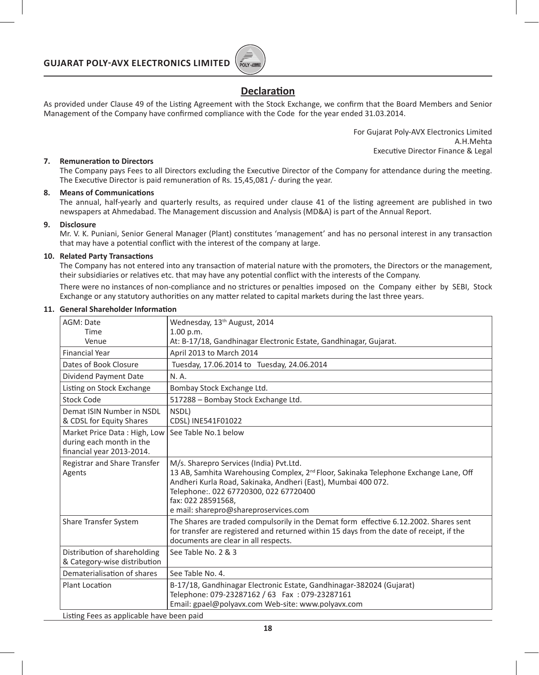

### **Declaration**

As provided under Clause 49 of the Listing Agreement with the Stock Exchange, we confirm that the Board Members and Senior Management of the Company have confirmed compliance with the Code for the year ended 31.03.2014.

> For Gujarat Poly-AVX Electronics Limited A.H.Mehta Executive Director Finance & Legal

### **7. Remuneration to Directors**

The Company pays Fees to all Directors excluding the Executive Director of the Company for attendance during the meeting. The Executive Director is paid remuneration of Rs. 15,45,081 /- during the year.

#### **8. Means of Communications**

The annual, half-yearly and quarterly results, as required under clause 41 of the listing agreement are published in two newspapers at Ahmedabad. The Management discussion and Analysis (MD&A) is part of the Annual Report.

#### **9. Disclosure**

Mr. V. K. Puniani, Senior General Manager (Plant) constitutes 'management' and has no personal interest in any transaction that may have a potential conflict with the interest of the company at large.

#### **10. Related Party Transactions**

The Company has not entered into any transaction of material nature with the promoters, the Directors or the management, their subsidiaries or relatives etc. that may have any potential conflict with the interests of the Company.

There were no instances of non-compliance and no strictures or penalties imposed on the Company either by SEBI, Stock Exchange or any statutory authorities on any matter related to capital markets during the last three years.

| AGM: Date                                                                             | Wednesday, 13 <sup>th</sup> August, 2014                                                                                                                                                                                                                                                                              |
|---------------------------------------------------------------------------------------|-----------------------------------------------------------------------------------------------------------------------------------------------------------------------------------------------------------------------------------------------------------------------------------------------------------------------|
| Time                                                                                  | 1.00 p.m.                                                                                                                                                                                                                                                                                                             |
| Venue                                                                                 | At: B-17/18, Gandhinagar Electronic Estate, Gandhinagar, Gujarat.                                                                                                                                                                                                                                                     |
| <b>Financial Year</b>                                                                 | April 2013 to March 2014                                                                                                                                                                                                                                                                                              |
| Dates of Book Closure                                                                 | Tuesday, 17.06.2014 to Tuesday, 24.06.2014                                                                                                                                                                                                                                                                            |
| Dividend Payment Date                                                                 | N. A.                                                                                                                                                                                                                                                                                                                 |
| Listing on Stock Exchange                                                             | Bombay Stock Exchange Ltd.                                                                                                                                                                                                                                                                                            |
| <b>Stock Code</b>                                                                     | 517288 - Bombay Stock Exchange Ltd.                                                                                                                                                                                                                                                                                   |
| Demat ISIN Number in NSDL<br>& CDSL for Equity Shares                                 | NSDL)<br>CDSL) INE541F01022                                                                                                                                                                                                                                                                                           |
| Market Price Data: High, Low<br>during each month in the<br>financial year 2013-2014. | See Table No.1 below                                                                                                                                                                                                                                                                                                  |
| Registrar and Share Transfer<br>Agents                                                | M/s. Sharepro Services (India) Pvt.Ltd.<br>13 AB, Samhita Warehousing Complex, 2 <sup>nd</sup> Floor, Sakinaka Telephone Exchange Lane, Off<br>Andheri Kurla Road, Sakinaka, Andheri (East), Mumbai 400 072.<br>Telephone:. 022 67720300, 022 67720400<br>fax: 022 28591568,<br>e mail: sharepro@shareproservices.com |
| Share Transfer System                                                                 | The Shares are traded compulsorily in the Demat form effective 6.12.2002. Shares sent<br>for transfer are registered and returned within 15 days from the date of receipt, if the<br>documents are clear in all respects.                                                                                             |
| Distribution of shareholding<br>& Category-wise distribution                          | See Table No. 2 & 3                                                                                                                                                                                                                                                                                                   |
| Dematerialisation of shares                                                           | See Table No. 4.                                                                                                                                                                                                                                                                                                      |
| <b>Plant Location</b><br>Lieting Foos as annlicable house boon noid                   | B-17/18, Gandhinagar Electronic Estate, Gandhinagar-382024 (Gujarat)<br>Telephone: 079-23287162 / 63  Fax: 079-23287161<br>Email: gpael@polyavx.com Web-site: www.polyavx.com                                                                                                                                         |

#### **11. General Shareholder Information**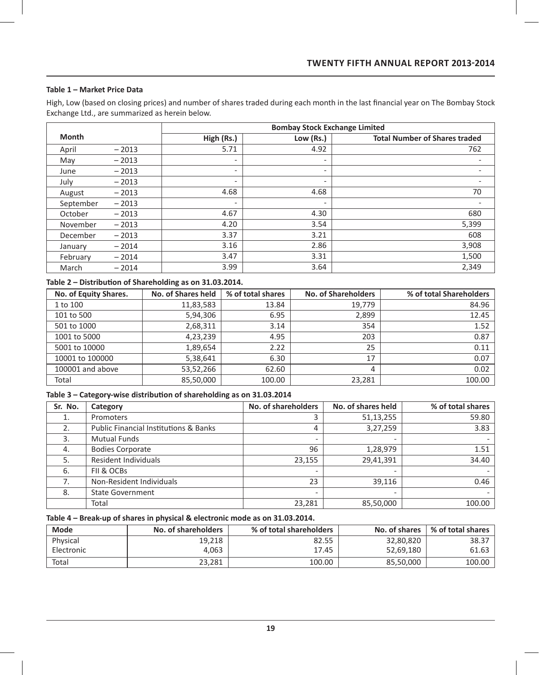### **Table 1 – Market Price Data**

High, Low (based on closing prices) and number of shares traded during each month in the last financial year on The Bombay Stock Exchange Ltd., are summarized as herein below.

|              |         | <b>Bombay Stock Exchange Limited</b> |                          |                                      |
|--------------|---------|--------------------------------------|--------------------------|--------------------------------------|
| <b>Month</b> |         | High (Rs.)                           | Low (Rs.)                | <b>Total Number of Shares traded</b> |
| April        | $-2013$ | 5.71                                 | 4.92                     | 762                                  |
| May          | $-2013$ | ۰                                    | $\overline{\phantom{a}}$ | $\overline{\phantom{0}}$             |
| June         | $-2013$ | $\overline{\phantom{a}}$             | ۰                        |                                      |
| July         | $-2013$ | ٠                                    | ٠                        | $\overline{\phantom{0}}$             |
| August       | $-2013$ | 4.68                                 | 4.68                     | 70                                   |
| September    | $-2013$ | $\overline{\phantom{a}}$             | ٠                        | ۰                                    |
| October      | $-2013$ | 4.67                                 | 4.30                     | 680                                  |
| November     | $-2013$ | 4.20                                 | 3.54                     | 5,399                                |
| December     | $-2013$ | 3.37                                 | 3.21                     | 608                                  |
| January      | $-2014$ | 3.16                                 | 2.86                     | 3,908                                |
| February     | $-2014$ | 3.47                                 | 3.31                     | 1,500                                |
| March        | $-2014$ | 3.99                                 | 3.64                     | 2,349                                |

**Table 2 – Distribution of Shareholding as on 31.03.2014.**

| No. of Equity Shares. | No. of Shares held | % of total shares | <b>No. of Shareholders</b> | % of total Shareholders |
|-----------------------|--------------------|-------------------|----------------------------|-------------------------|
| 1 to 100              | 11,83,583          | 13.84             | 19.779                     | 84.96                   |
| 101 to 500            | 5,94,306           | 6.95              | 2,899                      | 12.45                   |
| 501 to 1000           | 2,68,311           | 3.14              | 354                        | 1.52                    |
| 1001 to 5000          | 4,23,239           | 4.95              | 203                        | 0.87                    |
| 5001 to 10000         | 1,89,654           | 2.22              | 25                         | 0.11                    |
| 10001 to 100000       | 5,38,641           | 6.30              | 17                         | 0.07                    |
| 100001 and above      | 53,52,266          | 62.60             | 4                          | 0.02                    |
| Total                 | 85,50,000          | 100.00            | 23,281                     | 100.00                  |

### **Table 3 – Category-wise distribution of shareholding as on 31.03.2014**

| Sr. No. | Category                                         | No. of shareholders | No. of shares held       | % of total shares |
|---------|--------------------------------------------------|---------------------|--------------------------|-------------------|
| 1.      | Promoters                                        |                     | 51,13,255                | 59.80             |
| 2.      | <b>Public Financial Institutions &amp; Banks</b> | 4                   | 3,27,259                 | 3.83              |
| 3.      | <b>Mutual Funds</b>                              |                     |                          |                   |
| 4.      | <b>Bodies Corporate</b>                          | 96                  | 1,28,979                 | 1.51              |
| 5.      | Resident Individuals                             | 23,155              | 29,41,391                | 34.40             |
| 6.      | FII & OCBs                                       | -                   | $\overline{\phantom{a}}$ |                   |
| 7.      | Non-Resident Individuals                         | 23                  | 39.116                   | 0.46              |
| 8.      | <b>State Government</b>                          |                     |                          |                   |
|         | Total                                            | 23,281              | 85,50,000                | 100.00            |

### **Table 4 – Break-up of shares in physical & electronic mode as on 31.03.2014.**

| Mode       | No. of shareholders | % of total shareholders | No. of shares | % of total shares |
|------------|---------------------|-------------------------|---------------|-------------------|
| Physical   | 19,218              | 82.55                   | 32,80,820     | 38.37             |
| Electronic | 4,063               | 17.45                   | 52,69,180     | 61.63             |
| Total      | 23,281              | 100.00                  | 85,50,000     | 100.00            |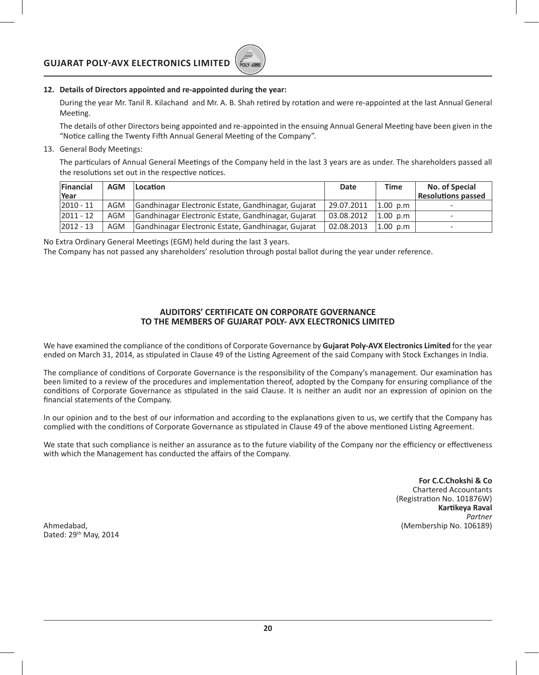

### **12. Details of Directors appointed and re-appointed during the year:**

During the year Mr. Tanil R. Kilachand and Mr. A. B. Shah retired by rotation and were re-appointed at the last Annual General Meeting.

The details of other Directors being appointed and re-appointed in the ensuing Annual General Meeting have been given in the "Notice calling the Twenty Fifth Annual General Meeting of the Company".

### 13. General Body Meetings:

The particulars of Annual General Meetings of the Company held in the last 3 years are as under. The shareholders passed all the resolutions set out in the respective notices.

| Financial     | <b>AGM</b> | Location                                            | Date       | Time       | No. of Special            |
|---------------|------------|-----------------------------------------------------|------------|------------|---------------------------|
| Year          |            |                                                     |            |            | <b>Resolutions passed</b> |
| $ 2010 - 11$  | AGM        | Gandhinagar Electronic Estate, Gandhinagar, Gujarat | 29.07.2011 | 1.00 p.m   |                           |
| $ 2011 - 12 $ | AGM        | Gandhinagar Electronic Estate, Gandhinagar, Gujarat | 03.08.2012 | $1.00$ p.m |                           |
| $ 2012 - 13 $ | AGM        | Gandhinagar Electronic Estate, Gandhinagar, Gujarat | 02.08.2013 | $1.00$ p.m |                           |

No Extra Ordinary General Meetings (EGM) held during the last 3 years.

The Company has not passed any shareholders' resolution through postal ballot during the year under reference.

### **AUDITORS' CERTIFICATE ON CORPORATE GOVERNANCE TO THE MEMBERS OF GUJARAT POLY- AVX ELECTRONICS LIMITED**

We have examined the compliance of the conditions of Corporate Governance by **Gujarat Poly-AVX Electronics Limited** for the year ended on March 31, 2014, as stipulated in Clause 49 of the Listing Agreement of the said Company with Stock Exchanges in India.

The compliance of conditions of Corporate Governance is the responsibility of the Company's management. Our examination has been limited to a review of the procedures and implementation thereof, adopted by the Company for ensuring compliance of the conditions of Corporate Governance as stipulated in the said Clause. It is neither an audit nor an expression of opinion on the financial statements of the Company.

In our opinion and to the best of our information and according to the explanations given to us, we certify that the Company has complied with the conditions of Corporate Governance as stipulated in Clause 49 of the above mentioned Listing Agreement.

We state that such compliance is neither an assurance as to the future viability of the Company nor the efficiency or effectiveness with which the Management has conducted the affairs of the Company.

**For C.C.Chokshi & Co** Chartered Accountants (Registration No. 101876W) **Kartikeya Raval**  *Partner* Ahmedabad, (Membership No. 106189)

Dated: 29th May, 2014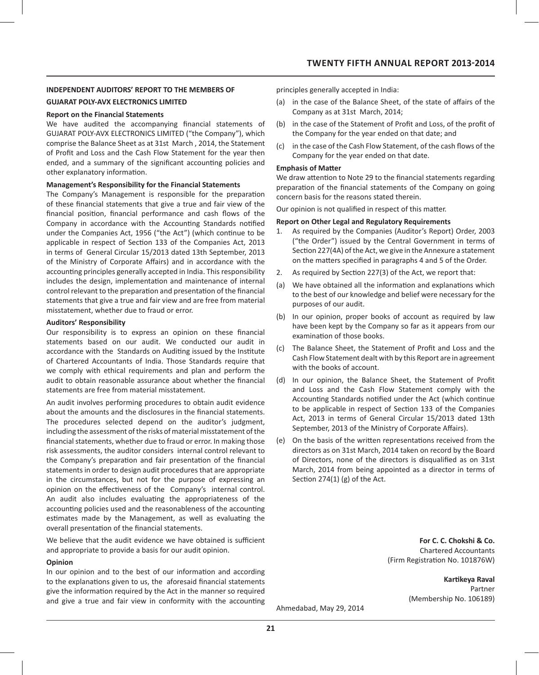### **INDEPENDENT AUDITORS' REPORT TO THE MEMBERS OF GUJARAT POLY-AVX ELECTRONICS LIMITED**

### **Report on the Financial Statements**

We have audited the accompanying financial statements of GUJARAT POLY-AVX ELECTRONICS LIMITED ("the Company"), which comprise the Balance Sheet as at 31st March , 2014, the Statement of Profit and Loss and the Cash Flow Statement for the year then ended, and a summary of the significant accounting policies and other explanatory information.

#### **Management's Responsibility for the Financial Statements**

The Company's Management is responsible for the preparation of these financial statements that give a true and fair view of the financial position, financial performance and cash flows of the Company in accordance with the Accounting Standards notified under the Companies Act, 1956 ("the Act") (which continue to be applicable in respect of Section 133 of the Companies Act, 2013 in terms of General Circular 15/2013 dated 13th September, 2013 of the Ministry of Corporate Affairs) and in accordance with the accounting principles generally accepted in India. This responsibility includes the design, implementation and maintenance of internal control relevant to the preparation and presentation of the financial statements that give a true and fair view and are free from material misstatement, whether due to fraud or error.

#### **Auditors' Responsibility**

Our responsibility is to express an opinion on these financial statements based on our audit. We conducted our audit in accordance with the Standards on Auditing issued by the Institute of Chartered Accountants of India. Those Standards require that we comply with ethical requirements and plan and perform the audit to obtain reasonable assurance about whether the financial statements are free from material misstatement.

An audit involves performing procedures to obtain audit evidence about the amounts and the disclosures in the financial statements. The procedures selected depend on the auditor's judgment, including the assessment of the risks of material misstatement of the financial statements, whether due to fraud or error. In making those risk assessments, the auditor considers internal control relevant to the Company's preparation and fair presentation of the financial statements in order to design audit procedures that are appropriate in the circumstances, but not for the purpose of expressing an opinion on the effectiveness of the Company's internal control. An audit also includes evaluating the appropriateness of the accounting policies used and the reasonableness of the accounting estimates made by the Management, as well as evaluating the overall presentation of the financial statements.

We believe that the audit evidence we have obtained is sufficient and appropriate to provide a basis for our audit opinion.

### **Opinion**

In our opinion and to the best of our information and according to the explanations given to us, the aforesaid financial statements give the information required by the Act in the manner so required and give a true and fair view in conformity with the accounting principles generally accepted in India:

- (a) in the case of the Balance Sheet, of the state of affairs of the Company as at 31st March, 2014;
- (b) in the case of the Statement of Profit and Loss, of the profit of the Company for the year ended on that date; and
- (c) in the case of the Cash Flow Statement, of the cash flows of the Company for the year ended on that date.

### **Emphasis of Matter**

We draw attention to Note 29 to the financial statements regarding preparation of the financial statements of the Company on going concern basis for the reasons stated therein.

Our opinion is not qualified in respect of this matter.

#### **Report on Other Legal and Regulatory Requirements**

- 1. As required by the Companies (Auditor's Report) Order, 2003 ("the Order") issued by the Central Government in terms of Section 227(4A) of the Act, we give in the Annexure a statement on the matters specified in paragraphs 4 and 5 of the Order.
- 2. As required by Section 227(3) of the Act, we report that:
- (a) We have obtained all the information and explanations which to the best of our knowledge and belief were necessary for the purposes of our audit.
- (b) In our opinion, proper books of account as required by law have been kept by the Company so far as it appears from our examination of those books.
- (c) The Balance Sheet, the Statement of Profit and Loss and the Cash Flow Statement dealt with by this Report are in agreement with the books of account.
- (d) In our opinion, the Balance Sheet, the Statement of Profit and Loss and the Cash Flow Statement comply with the Accounting Standards notified under the Act (which continue to be applicable in respect of Section 133 of the Companies Act, 2013 in terms of General Circular 15/2013 dated 13th September, 2013 of the Ministry of Corporate Affairs).
- (e) On the basis of the written representations received from the directors as on 31st March, 2014 taken on record by the Board of Directors, none of the directors is disqualified as on 31st March, 2014 from being appointed as a director in terms of Section 274(1) (g) of the Act.

**For C. C. Chokshi & Co.** Chartered Accountants (Firm Registration No. 101876W)

> **Kartikeya Raval** Partner (Membership No. 106189)

Ahmedabad, May 29, 2014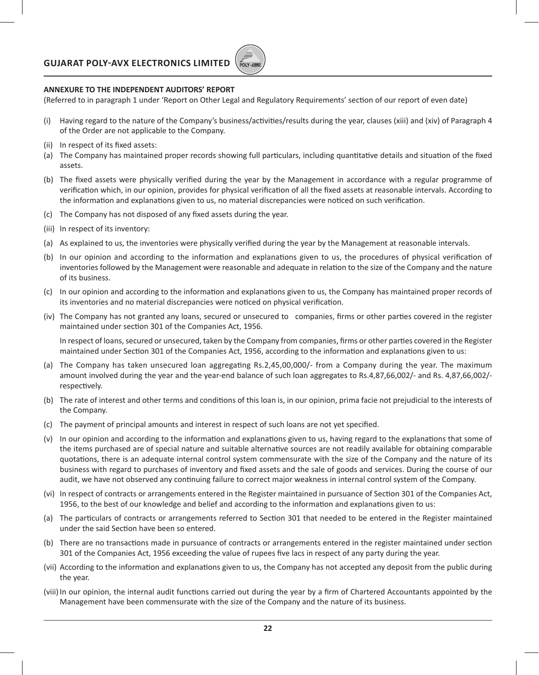### **ANNEXURE TO THE INDEPENDENT AUDITORS' REPORT**

(Referred to in paragraph 1 under 'Report on Other Legal and Regulatory Requirements' section of our report of even date)

 $\sqrt{2}$  OI Y -  $/3$ 

- (i) Having regard to the nature of the Company's business/activities/results during the year, clauses (xiii) and (xiv) of Paragraph 4 of the Order are not applicable to the Company.
- (ii) In respect of its fixed assets:
- (a) The Company has maintained proper records showing full particulars, including quantitative details and situation of the fixed assets.
- (b) The fixed assets were physically verified during the year by the Management in accordance with a regular programme of verification which, in our opinion, provides for physical verification of all the fixed assets at reasonable intervals. According to the information and explanations given to us, no material discrepancies were noticed on such verification.
- (c) The Company has not disposed of any fixed assets during the year.
- (iii) In respect of its inventory:
- (a) As explained to us, the inventories were physically verified during the year by the Management at reasonable intervals.
- (b) In our opinion and according to the information and explanations given to us, the procedures of physical verification of inventories followed by the Management were reasonable and adequate in relation to the size of the Company and the nature of its business.
- (c) In our opinion and according to the information and explanations given to us, the Company has maintained proper records of its inventories and no material discrepancies were noticed on physical verification.
- (iv) The Company has not granted any loans, secured or unsecured to companies, firms or other parties covered in the register maintained under section 301 of the Companies Act, 1956.

In respect of loans, secured or unsecured, taken by the Company from companies, firms or other parties covered in the Register maintained under Section 301 of the Companies Act, 1956, according to the information and explanations given to us:

- (a) The Company has taken unsecured loan aggregating Rs.2,45,00,000/- from a Company during the year. The maximum amount involved during the year and the year-end balance of such loan aggregates to Rs.4,87,66,002/- and Rs. 4,87,66,002/ respectively.
- (b) The rate of interest and other terms and conditions of this loan is, in our opinion, prima facie not prejudicial to the interests of the Company.
- (c) The payment of principal amounts and interest in respect of such loans are not yet specified.
- (v) In our opinion and according to the information and explanations given to us, having regard to the explanations that some of the items purchased are of special nature and suitable alternative sources are not readily available for obtaining comparable quotations, there is an adequate internal control system commensurate with the size of the Company and the nature of its business with regard to purchases of inventory and fixed assets and the sale of goods and services. During the course of our audit, we have not observed any continuing failure to correct major weakness in internal control system of the Company.
- (vi) In respect of contracts or arrangements entered in the Register maintained in pursuance of Section 301 of the Companies Act, 1956, to the best of our knowledge and belief and according to the information and explanations given to us:
- (a) The particulars of contracts or arrangements referred to Section 301 that needed to be entered in the Register maintained under the said Section have been so entered.
- (b) There are no transactions made in pursuance of contracts or arrangements entered in the register maintained under section 301 of the Companies Act, 1956 exceeding the value of rupees five lacs in respect of any party during the year.
- (vii) According to the information and explanations given to us, the Company has not accepted any deposit from the public during the year.
- (viii) In our opinion, the internal audit functions carried out during the year by a firm of Chartered Accountants appointed by the Management have been commensurate with the size of the Company and the nature of its business.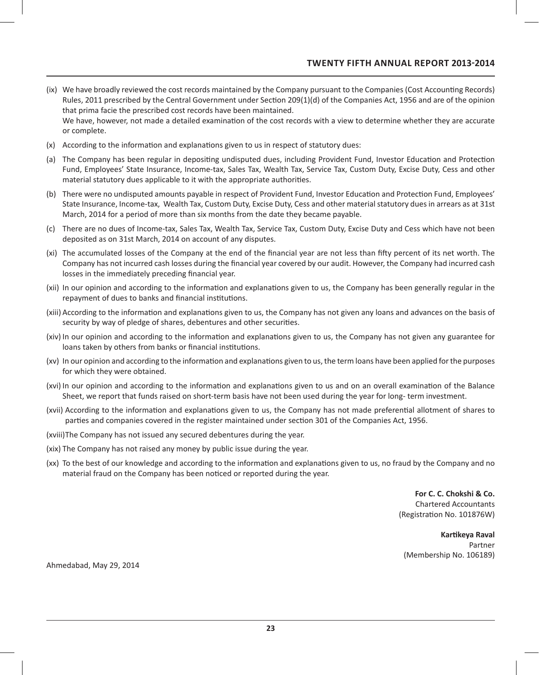- (ix) We have broadly reviewed the cost records maintained by the Company pursuant to the Companies (Cost Accounting Records) Rules, 2011 prescribed by the Central Government under Section 209(1)(d) of the Companies Act, 1956 and are of the opinion that prima facie the prescribed cost records have been maintained. We have, however, not made a detailed examination of the cost records with a view to determine whether they are accurate or complete.
- (x) According to the information and explanations given to us in respect of statutory dues:
- (a) The Company has been regular in depositing undisputed dues, including Provident Fund, Investor Education and Protection Fund, Employees' State Insurance, Income-tax, Sales Tax, Wealth Tax, Service Tax, Custom Duty, Excise Duty, Cess and other material statutory dues applicable to it with the appropriate authorities.
- (b) There were no undisputed amounts payable in respect of Provident Fund, Investor Education and Protection Fund, Employees' State Insurance, Income-tax, Wealth Tax, Custom Duty, Excise Duty, Cess and other material statutory dues in arrears as at 31st March, 2014 for a period of more than six months from the date they became payable.
- (c) There are no dues of Income-tax, Sales Tax, Wealth Tax, Service Tax, Custom Duty, Excise Duty and Cess which have not been deposited as on 31st March, 2014 on account of any disputes.
- (xi) The accumulated losses of the Company at the end of the financial year are not less than fifty percent of its net worth. The Company has not incurred cash losses during the financial year covered by our audit. However, the Company had incurred cash losses in the immediately preceding financial year.
- (xii) In our opinion and according to the information and explanations given to us, the Company has been generally regular in the repayment of dues to banks and financial institutions.
- (xiii) According to the information and explanations given to us, the Company has not given any loans and advances on the basis of security by way of pledge of shares, debentures and other securities.
- (xiv) In our opinion and according to the information and explanations given to us, the Company has not given any guarantee for loans taken by others from banks or financial institutions.
- (xv) In our opinion and according to the information and explanations given to us, the term loans have been applied for the purposes for which they were obtained.
- (xvi) In our opinion and according to the information and explanations given to us and on an overall examination of the Balance Sheet, we report that funds raised on short-term basis have not been used during the year for long- term investment.
- (xvii) According to the information and explanations given to us, the Company has not made preferential allotment of shares to parties and companies covered in the register maintained under section 301 of the Companies Act, 1956.
- (xviii)The Company has not issued any secured debentures during the year.
- (xix) The Company has not raised any money by public issue during the year.
- (xx) To the best of our knowledge and according to the information and explanations given to us, no fraud by the Company and no material fraud on the Company has been noticed or reported during the year.

**For C. C. Chokshi & Co.** Chartered Accountants (Registration No. 101876W)

**Kartikeya Raval** Partner (Membership No. 106189)

Ahmedabad, May 29, 2014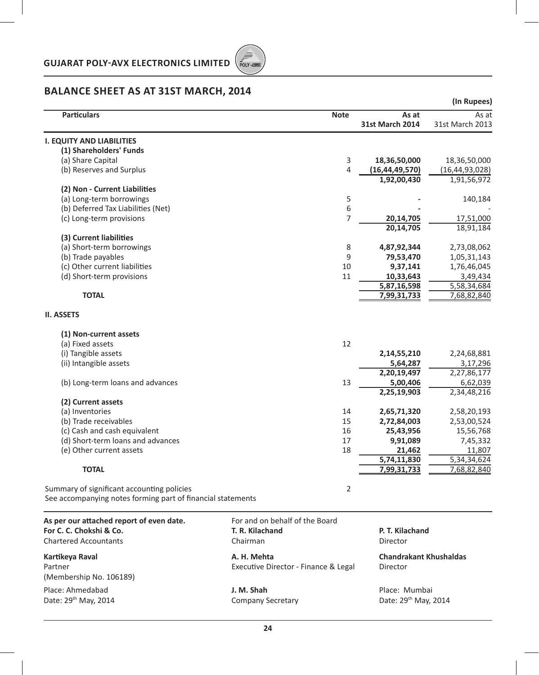

### **BALANCE SHEET AS AT 31ST MARCH, 2014**

|                                                             |                                      |                               | (In Rupees)            |
|-------------------------------------------------------------|--------------------------------------|-------------------------------|------------------------|
| <b>Particulars</b>                                          | <b>Note</b>                          | As at                         | As at                  |
|                                                             |                                      | <b>31st March 2014</b>        | 31st March 2013        |
| <b>I. EQUITY AND LIABILITIES</b>                            |                                      |                               |                        |
| (1) Shareholders' Funds                                     |                                      |                               |                        |
| (a) Share Capital                                           | 3                                    | 18,36,50,000                  | 18,36,50,000           |
| (b) Reserves and Surplus                                    | 4                                    | (16, 44, 49, 570)             | (16,44,93,028)         |
| (2) Non - Current Liabilities                               |                                      | 1,92,00,430                   | 1,91,56,972            |
| (a) Long-term borrowings                                    | 5                                    |                               |                        |
|                                                             |                                      |                               | 140,184                |
| (b) Deferred Tax Liabilities (Net)                          | 6                                    |                               |                        |
| (c) Long-term provisions                                    | $\overline{7}$                       | 20,14,705<br>20,14,705        | 17,51,000<br>18,91,184 |
| (3) Current liabilities                                     |                                      |                               |                        |
| (a) Short-term borrowings                                   | 8                                    | 4,87,92,344                   | 2,73,08,062            |
| (b) Trade payables                                          | 9                                    | 79,53,470                     | 1,05,31,143            |
| (c) Other current liabilities                               | 10                                   | 9,37,141                      | 1,76,46,045            |
| (d) Short-term provisions                                   | 11                                   | 10,33,643                     | 3,49,434               |
|                                                             |                                      | 5,87,16,598                   | 5,58,34,684            |
| <b>TOTAL</b>                                                |                                      | 7,99,31,733                   | 7,68,82,840            |
| <b>II. ASSETS</b>                                           |                                      |                               |                        |
|                                                             |                                      |                               |                        |
| (1) Non-current assets                                      |                                      |                               |                        |
| (a) Fixed assets                                            | 12                                   |                               |                        |
| (i) Tangible assets                                         |                                      | 2,14,55,210                   | 2,24,68,881            |
| (ii) Intangible assets                                      |                                      | 5,64,287                      | 3,17,296               |
|                                                             |                                      | 2,20,19,497                   | 2,27,86,177            |
| (b) Long-term loans and advances                            | 13                                   | 5,00,406                      | 6,62,039               |
|                                                             |                                      | 2,25,19,903                   | 2,34,48,216            |
| (2) Current assets                                          |                                      |                               |                        |
| (a) Inventories                                             | 14                                   | 2,65,71,320                   | 2,58,20,193            |
| (b) Trade receivables                                       | 15                                   | 2,72,84,003                   | 2,53,00,524            |
| (c) Cash and cash equivalent                                | 16                                   | 25,43,956                     | 15,56,768              |
| (d) Short-term loans and advances                           | 17                                   | 9,91,089                      | 7,45,332               |
| (e) Other current assets                                    | 18                                   | 21,462                        | 11,807                 |
|                                                             |                                      | 5,74,11,830                   | 5,34,34,624            |
| <b>TOTAL</b>                                                |                                      | 7,99,31,733                   | 7,68,82,840            |
| Summary of significant accounting policies                  | $\overline{2}$                       |                               |                        |
| See accompanying notes forming part of financial statements |                                      |                               |                        |
| As per our attached report of even date.                    | For and on behalf of the Board       |                               |                        |
| For C. C. Chokshi & Co.                                     | T. R. Kilachand                      | P. T. Kilachand               |                        |
| <b>Chartered Accountants</b>                                | Chairman                             | Director                      |                        |
|                                                             |                                      |                               |                        |
| Kartikeya Raval                                             | A. H. Mehta                          | <b>Chandrakant Khushaldas</b> |                        |
| Partner                                                     | Executive Director - Finance & Legal | Director                      |                        |
| (Membership No. 106189)                                     |                                      |                               |                        |
| Place: Ahmedabad                                            | J. M. Shah                           | Place: Mumbai                 |                        |

Date: 29<sup>th</sup> May, 2014 **Company Secretary** Date: 29<sup>th</sup> May, 2014

**24**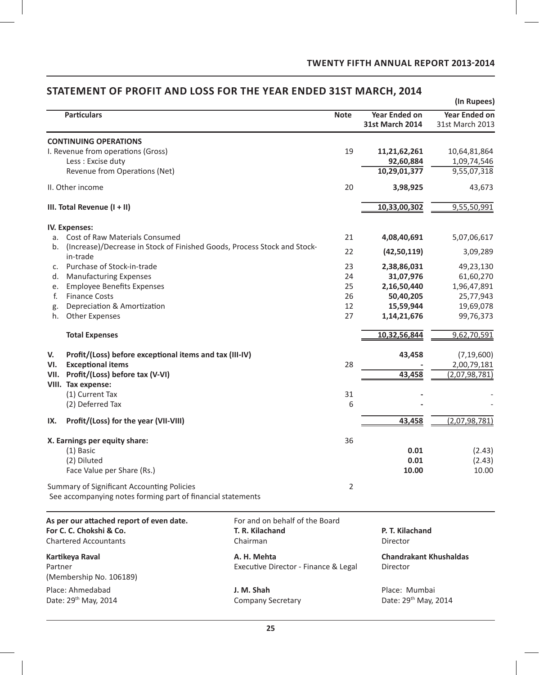### **Twenty FIFTH Annual Report 2013-2014**

|         |                                                                          |                                      |                |                               | (In Rupees)          |
|---------|--------------------------------------------------------------------------|--------------------------------------|----------------|-------------------------------|----------------------|
|         | <b>Particulars</b>                                                       |                                      | <b>Note</b>    | Year Ended on                 | <b>Year Ended on</b> |
|         |                                                                          |                                      |                | 31st March 2014               | 31st March 2013      |
|         | <b>CONTINUING OPERATIONS</b>                                             |                                      |                |                               |                      |
|         | I. Revenue from operations (Gross)                                       |                                      | 19             | 11,21,62,261                  | 10,64,81,864         |
|         | Less : Excise duty<br>Revenue from Operations (Net)                      |                                      |                | 92,60,884                     | 1,09,74,546          |
|         |                                                                          |                                      |                | 10,29,01,377                  | 9,55,07,318          |
|         | II. Other income                                                         |                                      | 20             | 3,98,925                      | 43,673               |
|         | III. Total Revenue (I + II)                                              |                                      |                | 10,33,00,302                  | 9,55,50,991          |
|         | IV. Expenses:                                                            |                                      |                |                               |                      |
|         | a. Cost of Raw Materials Consumed                                        |                                      | 21             | 4,08,40,691                   | 5,07,06,617          |
| b.      | (Increase)/Decrease in Stock of Finished Goods, Process Stock and Stock- |                                      | 22             | (42,50,119)                   | 3,09,289             |
| C.      | in-trade<br>Purchase of Stock-in-trade                                   |                                      | 23             | 2,38,86,031                   | 49,23,130            |
| d.      | <b>Manufacturing Expenses</b>                                            |                                      | 24             | 31,07,976                     | 61,60,270            |
| e.      | <b>Employee Benefits Expenses</b>                                        |                                      | 25             | 2,16,50,440                   | 1,96,47,891          |
| f.      | <b>Finance Costs</b>                                                     |                                      | 26             | 50,40,205                     | 25,77,943            |
| g.      | Depreciation & Amortization                                              |                                      | 12             | 15,59,944                     | 19,69,078            |
| h.      | <b>Other Expenses</b>                                                    |                                      | 27             | 1, 14, 21, 676                | 99,76,373            |
|         | <b>Total Expenses</b>                                                    |                                      |                | 10,32,56,844                  | 9,62,70,591          |
| V.      | Profit/(Loss) before exceptional items and tax (III-IV)                  |                                      |                | 43,458                        | (7, 19, 600)         |
| VI.     | <b>Exceptional items</b>                                                 |                                      | 28             |                               | 2,00,79,181          |
| VII.    | Profit/(Loss) before tax (V-VI)                                          |                                      |                | 43,458                        | (2,07,98,781)        |
|         | VIII. Tax expense:                                                       |                                      |                |                               |                      |
|         | (1) Current Tax                                                          |                                      | 31             |                               |                      |
|         | (2) Deferred Tax                                                         |                                      | 6              |                               |                      |
| IX.     | Profit/(Loss) for the year (VII-VIII)                                    |                                      |                | 43,458                        | (2,07,98,781)        |
|         | X. Earnings per equity share:                                            |                                      | 36             |                               |                      |
|         | (1) Basic                                                                |                                      |                | 0.01                          | (2.43)               |
|         | (2) Diluted                                                              |                                      |                | 0.01                          | (2.43)               |
|         | Face Value per Share (Rs.)                                               |                                      |                | 10.00                         | 10.00                |
|         | Summary of Significant Accounting Policies                               |                                      | $\overline{2}$ |                               |                      |
|         | See accompanying notes forming part of financial statements              |                                      |                |                               |                      |
|         | As per our attached report of even date.                                 | For and on behalf of the Board       |                |                               |                      |
|         | For C. C. Chokshi & Co.<br><b>Chartered Accountants</b>                  | T. R. Kilachand<br>Chairman          |                | P. T. Kilachand<br>Director   |                      |
|         | Kartikeya Raval                                                          | A. H. Mehta                          |                | <b>Chandrakant Khushaldas</b> |                      |
| Partner |                                                                          | Executive Director - Finance & Legal |                | Director                      |                      |
|         | (Membership No. 106189)                                                  |                                      |                |                               |                      |
|         | Place: Ahmedabad                                                         | J. M. Shah                           |                | Place: Mumbai                 |                      |
|         | Date: 29th May, 2014                                                     | <b>Company Secretary</b>             |                | Date: 29th May, 2014          |                      |
|         |                                                                          |                                      |                |                               |                      |

### **Statement of Profit and Loss for the year ended 31st March, 2014**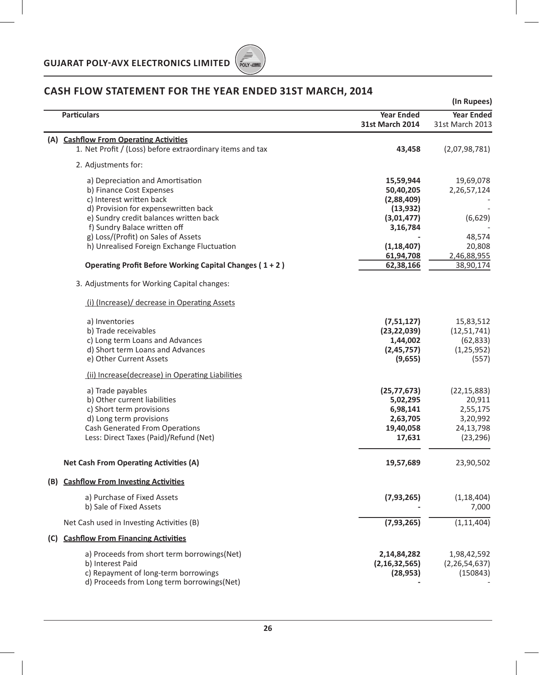

### **Cash flow statement for the year ended 31st March, 2014**

|                                                                                                     |                                             | (In Rupees)                   |
|-----------------------------------------------------------------------------------------------------|---------------------------------------------|-------------------------------|
| <b>Particulars</b>                                                                                  | <b>Year Ended</b><br><b>31st March 2014</b> | Year Ended<br>31st March 2013 |
| (A) Cashflow From Operating Activities<br>1. Net Profit / (Loss) before extraordinary items and tax | 43,458                                      | (2,07,98,781)                 |
| 2. Adjustments for:                                                                                 |                                             |                               |
| a) Depreciation and Amortisation                                                                    | 15,59,944                                   | 19,69,078                     |
| b) Finance Cost Expenses                                                                            | 50,40,205                                   | 2,26,57,124                   |
| c) Interest written back                                                                            | (2,88,409)                                  |                               |
| d) Provision for expensewritten back                                                                | (13, 932)                                   |                               |
| e) Sundry credit balances written back                                                              | (3,01,477)                                  | (6,629)                       |
| f) Sundry Balace written off                                                                        | 3,16,784                                    |                               |
| g) Loss/(Profit) on Sales of Assets                                                                 |                                             | 48,574                        |
| h) Unrealised Foreign Exchange Fluctuation                                                          | (1, 18, 407)                                | 20,808                        |
|                                                                                                     | 61,94,708                                   | 2,46,88,955                   |
| Operating Profit Before Working Capital Changes ( $1+2$ )                                           | 62,38,166                                   | 38,90,174                     |
| 3. Adjustments for Working Capital changes:                                                         |                                             |                               |
| (i) (Increase)/ decrease in Operating Assets                                                        |                                             |                               |
| a) Inventories                                                                                      | (7, 51, 127)                                | 15,83,512                     |
| b) Trade receivables                                                                                | (23, 22, 039)                               | (12, 51, 741)                 |
| c) Long term Loans and Advances                                                                     | 1,44,002                                    | (62, 833)                     |
| d) Short term Loans and Advances                                                                    | (2,45,757)                                  | (1, 25, 952)                  |
| e) Other Current Assets                                                                             | (9,655)                                     | (557)                         |
| (ii) Increase (decrease) in Operating Liabilities                                                   |                                             |                               |
| a) Trade payables                                                                                   | (25, 77, 673)                               | (22, 15, 883)                 |
| b) Other current liabilities                                                                        | 5,02,295                                    | 20,911                        |
| c) Short term provisions                                                                            | 6,98,141                                    | 2,55,175                      |
| d) Long term provisions                                                                             | 2,63,705                                    | 3,20,992                      |
| <b>Cash Generated From Operations</b>                                                               | 19,40,058                                   | 24,13,798                     |
| Less: Direct Taxes (Paid)/Refund (Net)                                                              | 17,631                                      | (23, 296)                     |
| Net Cash From Operating Activities (A)                                                              | 19,57,689                                   | 23,90,502                     |
| (B) Cashflow From Investing Activities                                                              |                                             |                               |
| a) Purchase of Fixed Assets                                                                         | (7, 93, 265)                                | (1, 18, 404)                  |
| b) Sale of Fixed Assets                                                                             |                                             | 7,000                         |
| Net Cash used in Investing Activities (B)                                                           | (7, 93, 265)                                | (1, 11, 404)                  |
| (C) Cashflow From Financing Activities                                                              |                                             |                               |
| a) Proceeds from short term borrowings (Net)                                                        | 2,14,84,282                                 | 1,98,42,592                   |
| b) Interest Paid                                                                                    | (2, 16, 32, 565)                            | (2, 26, 54, 637)              |
| c) Repayment of long-term borrowings                                                                | (28, 953)                                   | (150843)                      |
| d) Proceeds from Long term borrowings (Net)                                                         |                                             |                               |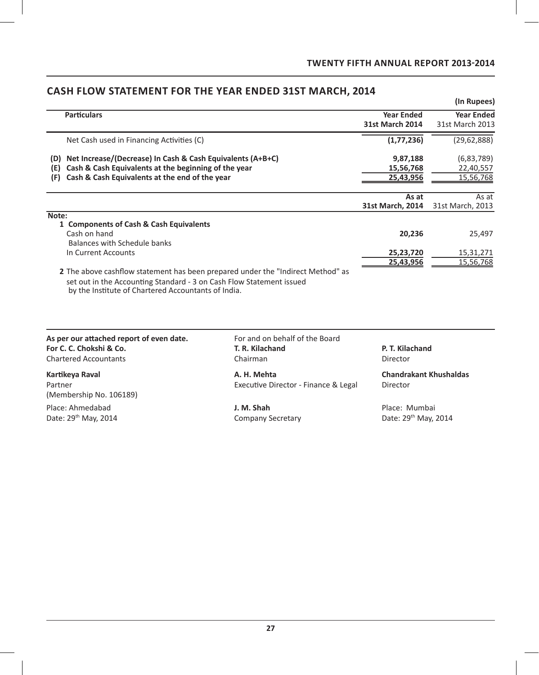### **Cash flow statement for the year ended 31st March, 2014**

|                                                                                                                             |                        | (In Rupees)       |
|-----------------------------------------------------------------------------------------------------------------------------|------------------------|-------------------|
| <b>Particulars</b>                                                                                                          | <b>Year Ended</b>      | <b>Year Ended</b> |
|                                                                                                                             | <b>31st March 2014</b> | 31st March 2013   |
| Net Cash used in Financing Activities (C)                                                                                   | (1,77,236)             | (29, 62, 888)     |
| Net Increase/(Decrease) In Cash & Cash Equivalents (A+B+C)<br>(D)                                                           | 9,87,188               | (6,83,789)        |
| Cash & Cash Equivalents at the beginning of the year<br>(E)                                                                 | 15,56,768              | 22,40,557         |
| Cash & Cash Equivalents at the end of the year<br>(F)                                                                       | 25,43,956              | 15,56,768         |
|                                                                                                                             |                        |                   |
|                                                                                                                             | As at                  | As at             |
|                                                                                                                             | 31st March, 2014       | 31st March, 2013  |
| Note:                                                                                                                       |                        |                   |
| 1 Components of Cash & Cash Equivalents                                                                                     |                        |                   |
| Cash on hand                                                                                                                | 20,236                 | 25,497            |
| Balances with Schedule banks                                                                                                |                        |                   |
| In Current Accounts                                                                                                         | 25,23,720              | 15,31,271         |
|                                                                                                                             | 25,43,956              | 15,56,768         |
| 2 The above cashflow statement has been prepared under the "Indirect Method" as                                             |                        |                   |
| set out in the Accounting Standard - 3 on Cash Flow Statement issued<br>by the Institute of Chartered Accountants of India. |                        |                   |

| As per our attached report of even date.<br>For C. C. Chokshi & Co.<br><b>Chartered Accountants</b> | For and on behalf of the Board<br>T. R. Kilachand<br>Chairman | P. T. Kilachand<br>Director                       |
|-----------------------------------------------------------------------------------------------------|---------------------------------------------------------------|---------------------------------------------------|
| Kartikeya Raval<br>Partner<br>(Membership No. 106189)                                               | A. H. Mehta<br>Executive Director - Finance & Legal           | <b>Chandrakant Khushaldas</b><br>Director         |
| Place: Ahmedabad<br>Date: 29 <sup>th</sup> May, 2014                                                | J. M. Shah<br><b>Company Secretary</b>                        | Place: Mumbai<br>Date: 29 <sup>th</sup> May, 2014 |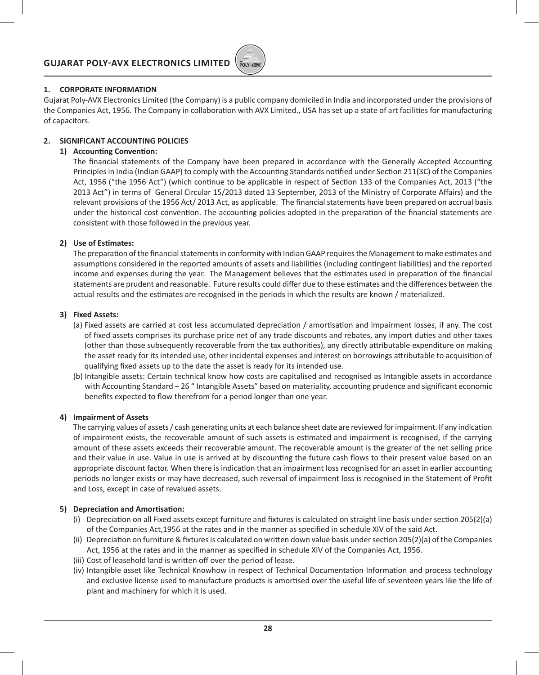### **1. CORPORATE INFORMATION**

Gujarat Poly-AVX Electronics Limited (the Company) is a public company domiciled in India and incorporated under the provisions of the Companies Act, 1956. The Company in collaboration with AVX Limited., USA has set up a state of art facilities for manufacturing of capacitors.

### **2. SIGNIFICANT ACCOUNTING POLICIES**

### **1) Accounting Convention:**

The financial statements of the Company have been prepared in accordance with the Generally Accepted Accounting Principles in India (Indian GAAP) to comply with the Accounting Standards notified under Section 211(3C) of the Companies Act, 1956 ("the 1956 Act") (which continue to be applicable in respect of Section 133 of the Companies Act, 2013 ("the 2013 Act") in terms of General Circular 15/2013 dated 13 September, 2013 of the Ministry of Corporate Affairs) and the relevant provisions of the 1956 Act/ 2013 Act, as applicable. The financial statements have been prepared on accrual basis under the historical cost convention. The accounting policies adopted in the preparation of the financial statements are consistent with those followed in the previous year.

### **2) Use of Estimates:**

The preparation of the financial statements in conformity with Indian GAAP requires the Management to make estimates and assumptions considered in the reported amounts of assets and liabilities (including contingent liabilities) and the reported income and expenses during the year. The Management believes that the estimates used in preparation of the financial statements are prudent and reasonable. Future results could differ due to these estimates and the differences between the actual results and the estimates are recognised in the periods in which the results are known / materialized.

### **3) Fixed Assets:**

- (a) Fixed assets are carried at cost less accumulated depreciation / amortisation and impairment losses, if any. The cost of fixed assets comprises its purchase price net of any trade discounts and rebates, any import duties and other taxes (other than those subsequently recoverable from the tax authorities), any directly attributable expenditure on making the asset ready for its intended use, other incidental expenses and interest on borrowings attributable to acquisition of qualifying fixed assets up to the date the asset is ready for its intended use.
- (b) Intangible assets: Certain technical know how costs are capitalised and recognised as Intangible assets in accordance with Accounting Standard – 26 " Intangible Assets" based on materiality, accounting prudence and significant economic benefits expected to flow therefrom for a period longer than one year.

### **4) Impairment of Assets**

The carrying values of assets / cash generating units at each balance sheet date are reviewed for impairment. If any indication of impairment exists, the recoverable amount of such assets is estimated and impairment is recognised, if the carrying amount of these assets exceeds their recoverable amount. The recoverable amount is the greater of the net selling price and their value in use. Value in use is arrived at by discounting the future cash flows to their present value based on an appropriate discount factor. When there is indication that an impairment loss recognised for an asset in earlier accounting periods no longer exists or may have decreased, such reversal of impairment loss is recognised in the Statement of Profit and Loss, except in case of revalued assets.

### **5) Depreciation and Amortisation:**

- (i) Depreciation on all Fixed assets except furniture and fixtures is calculated on straight line basis under section 205(2)(a) of the Companies Act,1956 at the rates and in the manner as specified in schedule XIV of the said Act.
- (ii) Depreciation on furniture & fixtures is calculated on written down value basis under section 205(2)(a) of the Companies Act, 1956 at the rates and in the manner as specified in schedule XIV of the Companies Act, 1956.
- (iii) Cost of leasehold land is written off over the period of lease.
- (iv) Intangible asset like Technical Knowhow in respect of Technical Documentation Information and process technology and exclusive license used to manufacture products is amortised over the useful life of seventeen years like the life of plant and machinery for which it is used.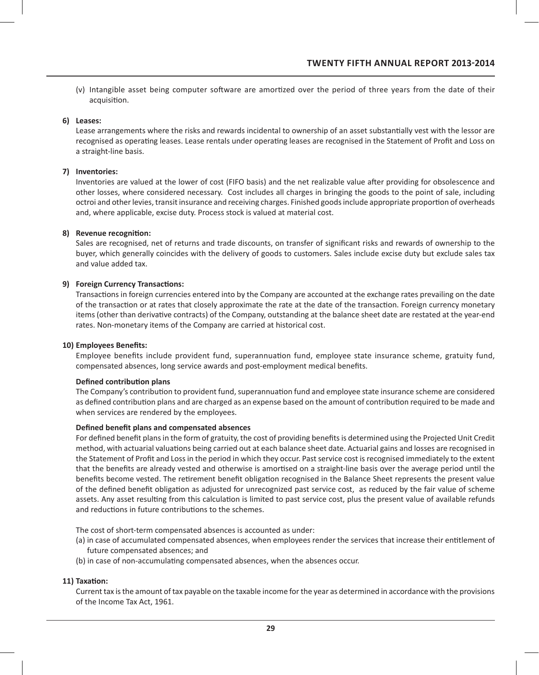(v) Intangible asset being computer software are amortized over the period of three years from the date of their acquisition.

### **6) Leases:**

Lease arrangements where the risks and rewards incidental to ownership of an asset substantially vest with the lessor are recognised as operating leases. Lease rentals under operating leases are recognised in the Statement of Profit and Loss on a straight-line basis.

### **7) Inventories:**

Inventories are valued at the lower of cost (FIFO basis) and the net realizable value after providing for obsolescence and other losses, where considered necessary. Cost includes all charges in bringing the goods to the point of sale, including octroi and other levies, transit insurance and receiving charges. Finished goods include appropriate proportion of overheads and, where applicable, excise duty. Process stock is valued at material cost.

### **8) Revenue recognition:**

Sales are recognised, net of returns and trade discounts, on transfer of significant risks and rewards of ownership to the buyer, which generally coincides with the delivery of goods to customers. Sales include excise duty but exclude sales tax and value added tax.

### **9) Foreign Currency Transactions:**

Transactions in foreign currencies entered into by the Company are accounted at the exchange rates prevailing on the date of the transaction or at rates that closely approximate the rate at the date of the transaction. Foreign currency monetary items (other than derivative contracts) of the Company, outstanding at the balance sheet date are restated at the year-end rates. Non-monetary items of the Company are carried at historical cost.

### **10) Employees Benefits:**

Employee benefits include provident fund, superannuation fund, employee state insurance scheme, gratuity fund, compensated absences, long service awards and post-employment medical benefits.

### **Defined contribution plans**

The Company's contribution to provident fund, superannuation fund and employee state insurance scheme are considered as defined contribution plans and are charged as an expense based on the amount of contribution required to be made and when services are rendered by the employees.

### **Defined benefit plans and compensated absences**

For defined benefit plans in the form of gratuity, the cost of providing benefits is determined using the Projected Unit Credit method, with actuarial valuations being carried out at each balance sheet date. Actuarial gains and losses are recognised in the Statement of Profit and Loss in the period in which they occur. Past service cost is recognised immediately to the extent that the benefits are already vested and otherwise is amortised on a straight-line basis over the average period until the benefits become vested. The retirement benefit obligation recognised in the Balance Sheet represents the present value of the defined benefit obligation as adjusted for unrecognized past service cost, as reduced by the fair value of scheme assets. Any asset resulting from this calculation is limited to past service cost, plus the present value of available refunds and reductions in future contributions to the schemes.

The cost of short-term compensated absences is accounted as under:

- (a) in case of accumulated compensated absences, when employees render the services that increase their entitlement of future compensated absences; and
- (b) in case of non-accumulating compensated absences, when the absences occur.

### **11) Taxation:**

Current tax is the amount of tax payable on the taxable income for the year as determined in accordance with the provisions of the Income Tax Act, 1961.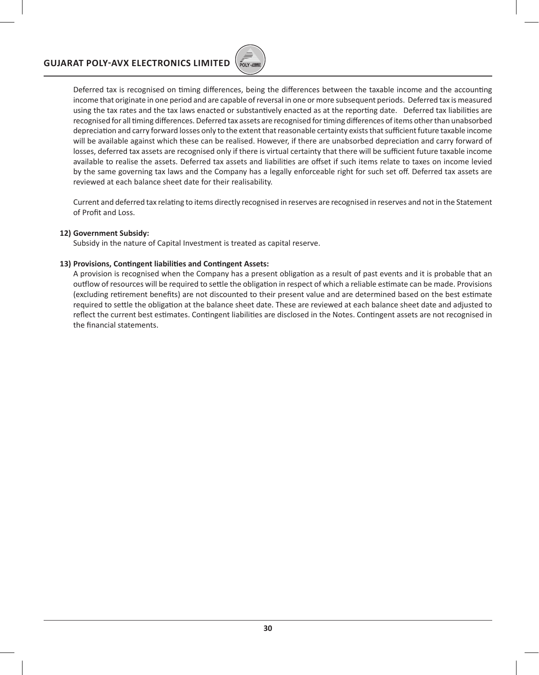Deferred tax is recognised on timing differences, being the differences between the taxable income and the accounting income that originate in one period and are capable of reversal in one or more subsequent periods. Deferred tax is measured using the tax rates and the tax laws enacted or substantively enacted as at the reporting date. Deferred tax liabilities are recognised for all timing differences. Deferred tax assets are recognised for timing differences of items other than unabsorbed depreciation and carry forward losses only to the extent that reasonable certainty exists that sufficient future taxable income will be available against which these can be realised. However, if there are unabsorbed depreciation and carry forward of losses, deferred tax assets are recognised only if there is virtual certainty that there will be sufficient future taxable income available to realise the assets. Deferred tax assets and liabilities are offset if such items relate to taxes on income levied by the same governing tax laws and the Company has a legally enforceable right for such set off. Deferred tax assets are reviewed at each balance sheet date for their realisability.

Current and deferred tax relating to items directly recognised in reserves are recognised in reserves and not in the Statement of Profit and Loss.

### **12) Government Subsidy:**

Subsidy in the nature of Capital Investment is treated as capital reserve.

### **13) Provisions, Contingent liabilities and Contingent Assets:**

A provision is recognised when the Company has a present obligation as a result of past events and it is probable that an outflow of resources will be required to settle the obligation in respect of which a reliable estimate can be made. Provisions (excluding retirement benefits) are not discounted to their present value and are determined based on the best estimate required to settle the obligation at the balance sheet date. These are reviewed at each balance sheet date and adjusted to reflect the current best estimates. Contingent liabilities are disclosed in the Notes. Contingent assets are not recognised in the financial statements.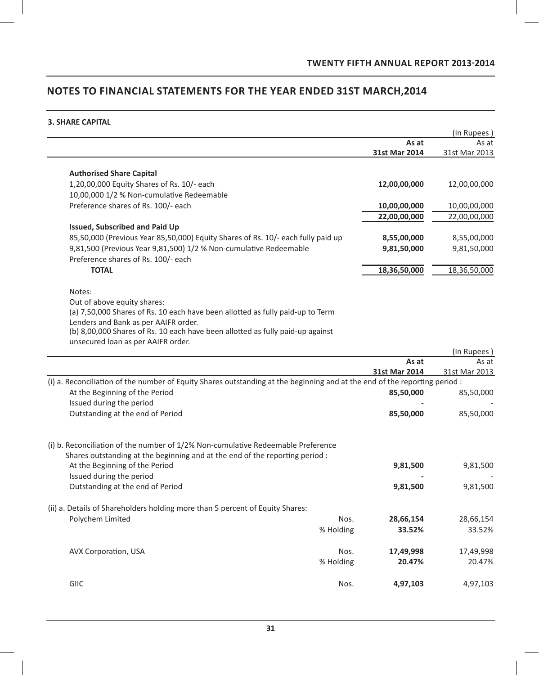### **Notes to Financial Statements for the year ended 31st March,2014**

**3. SHARE CAPITAL**

|                                                                                                                            |           |               | (In Rupees)          |
|----------------------------------------------------------------------------------------------------------------------------|-----------|---------------|----------------------|
|                                                                                                                            |           | As at         | As at                |
|                                                                                                                            |           | 31st Mar 2014 | 31st Mar 2013        |
|                                                                                                                            |           |               |                      |
| <b>Authorised Share Capital</b>                                                                                            |           |               |                      |
| 1,20,00,000 Equity Shares of Rs. 10/- each                                                                                 |           | 12,00,00,000  | 12,00,00,000         |
| 10,00,000 1/2 % Non-cumulative Redeemable                                                                                  |           |               |                      |
| Preference shares of Rs. 100/- each                                                                                        |           | 10,00,00,000  | 10,00,00,000         |
|                                                                                                                            |           | 22,00,00,000  | 22,00,00,000         |
| <b>Issued, Subscribed and Paid Up</b>                                                                                      |           |               |                      |
| 85,50,000 (Previous Year 85,50,000) Equity Shares of Rs. 10/- each fully paid up                                           |           | 8,55,00,000   | 8,55,00,000          |
| 9,81,500 (Previous Year 9,81,500) 1/2 % Non-cumulative Redeemable                                                          |           | 9,81,50,000   | 9,81,50,000          |
| Preference shares of Rs. 100/- each                                                                                        |           |               |                      |
| <b>TOTAL</b>                                                                                                               |           | 18,36,50,000  | 18,36,50,000         |
|                                                                                                                            |           |               |                      |
| Notes:                                                                                                                     |           |               |                      |
| Out of above equity shares:                                                                                                |           |               |                      |
| (a) 7,50,000 Shares of Rs. 10 each have been allotted as fully paid-up to Term                                             |           |               |                      |
| Lenders and Bank as per AAIFR order.                                                                                       |           |               |                      |
| (b) 8,00,000 Shares of Rs. 10 each have been allotted as fully paid-up against                                             |           |               |                      |
| unsecured loan as per AAIFR order.                                                                                         |           |               |                      |
|                                                                                                                            |           | As at         | (In Rupees)<br>As at |
|                                                                                                                            |           | 31st Mar 2014 | 31st Mar 2013        |
| (i) a. Reconciliation of the number of Equity Shares outstanding at the beginning and at the end of the reporting period : |           |               |                      |
| At the Beginning of the Period                                                                                             |           | 85,50,000     | 85,50,000            |
| Issued during the period                                                                                                   |           |               |                      |
| Outstanding at the end of Period                                                                                           |           | 85,50,000     | 85,50,000            |
|                                                                                                                            |           |               |                      |
|                                                                                                                            |           |               |                      |
| (i) b. Reconciliation of the number of $1/2%$ Non-cumulative Redeemable Preference                                         |           |               |                      |
| Shares outstanding at the beginning and at the end of the reporting period :                                               |           |               |                      |
| At the Beginning of the Period                                                                                             |           | 9,81,500      | 9,81,500             |
| Issued during the period                                                                                                   |           |               |                      |
| Outstanding at the end of Period                                                                                           |           | 9,81,500      | 9,81,500             |
|                                                                                                                            |           |               |                      |
| (ii) a. Details of Shareholders holding more than 5 percent of Equity Shares:                                              |           |               |                      |
| Polychem Limited                                                                                                           | Nos.      | 28,66,154     | 28,66,154            |
|                                                                                                                            | % Holding | 33.52%        | 33.52%               |
|                                                                                                                            |           |               |                      |
| AVX Corporation, USA                                                                                                       | Nos.      | 17,49,998     | 17,49,998            |
|                                                                                                                            | % Holding | 20.47%        | 20.47%               |
|                                                                                                                            |           |               |                      |
| GIIC                                                                                                                       | Nos.      | 4,97,103      | 4,97,103             |
|                                                                                                                            |           |               |                      |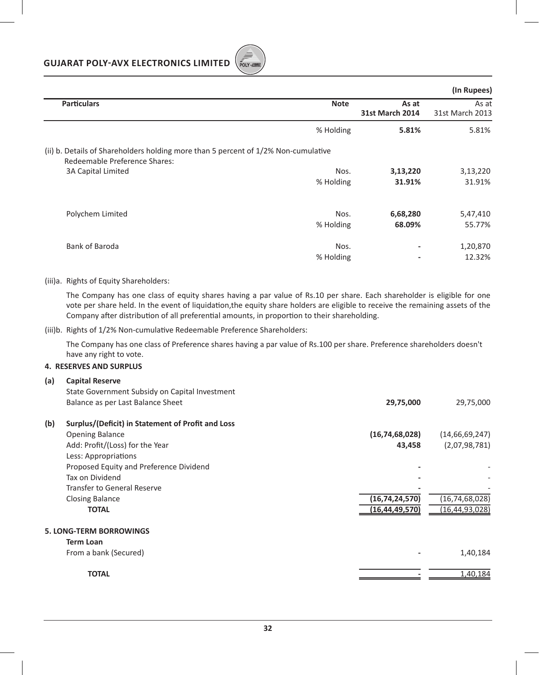

### **(In Rupees)**

| <b>Particulars</b>                                                                                                  | <b>Note</b> | As at<br><b>31st March 2014</b> | As at<br>31st March 2013 |
|---------------------------------------------------------------------------------------------------------------------|-------------|---------------------------------|--------------------------|
|                                                                                                                     | % Holding   | 5.81%                           | 5.81%                    |
| (ii) b. Details of Shareholders holding more than 5 percent of 1/2% Non-cumulative<br>Redeemable Preference Shares: |             |                                 |                          |
| <b>3A Capital Limited</b>                                                                                           | Nos.        | 3,13,220                        | 3,13,220                 |
|                                                                                                                     | % Holding   | 31.91%                          | 31.91%                   |
| Polychem Limited                                                                                                    | Nos.        | 6,68,280                        | 5,47,410                 |
|                                                                                                                     | % Holding   | 68.09%                          | 55.77%                   |
| Bank of Baroda                                                                                                      | Nos.        |                                 | 1,20,870                 |
|                                                                                                                     | % Holding   | ٠                               | 12.32%                   |
|                                                                                                                     |             |                                 |                          |

### (iii)a. Rights of Equity Shareholders:

The Company has one class of equity shares having a par value of Rs.10 per share. Each shareholder is eligible for one vote per share held. In the event of liquidation,the equity share holders are eligible to receive the remaining assets of the Company after distribution of all preferential amounts, in proportion to their shareholding.

(iii)b. Rights of 1/2% Non-cumulative Redeemable Preference Shareholders:

The Company has one class of Preference shares having a par value of Rs.100 per share. Preference shareholders doesn't have any right to vote.

### **4. RESERVES AND SURPLUS**

### **(a) Capital Reserve**

|     | State Government Subsidy on Capital Investment    |                   |                   |
|-----|---------------------------------------------------|-------------------|-------------------|
|     | Balance as per Last Balance Sheet                 | 29,75,000         | 29,75,000         |
| (b) | Surplus/(Deficit) in Statement of Profit and Loss |                   |                   |
|     | <b>Opening Balance</b>                            | (16, 74, 68, 028) | (14,66,69,247)    |
|     | Add: Profit/(Loss) for the Year                   | 43,458            | (2,07,98,781)     |
|     | Less: Appropriations                              |                   |                   |
|     | Proposed Equity and Preference Dividend           |                   |                   |
|     | Tax on Dividend                                   |                   |                   |
|     | Transfer to General Reserve                       |                   |                   |
|     | <b>Closing Balance</b>                            | (16, 74, 24, 570) | (16, 74, 68, 028) |
|     | <b>TOTAL</b>                                      | (16,44,49,570)    | (16, 44, 93, 028) |
|     | 5. LONG-TERM BORROWINGS                           |                   |                   |
|     | <b>Term Loan</b>                                  |                   |                   |
|     | From a bank (Secured)                             |                   | 1,40,184          |
|     | <b>TOTAL</b>                                      |                   | 1,40,184          |
|     |                                                   |                   |                   |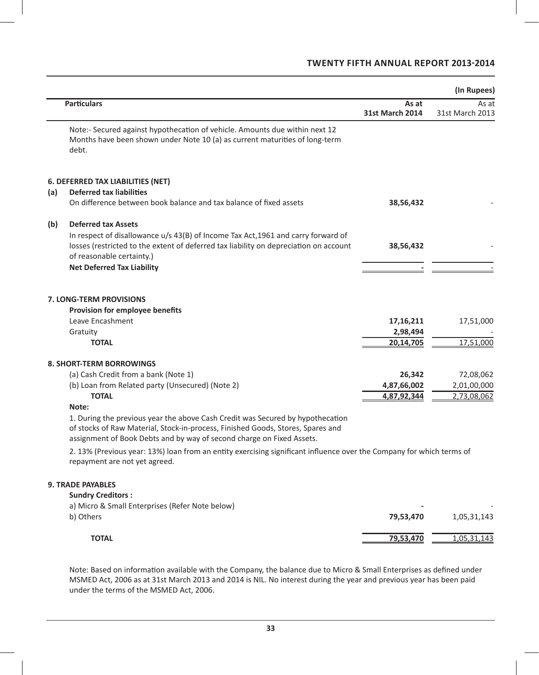|     |                                                                                                                                                                                                                                            |                                 | (In Rupees)              |
|-----|--------------------------------------------------------------------------------------------------------------------------------------------------------------------------------------------------------------------------------------------|---------------------------------|--------------------------|
|     | <b>Particulars</b>                                                                                                                                                                                                                         | As at<br><b>31st March 2014</b> | As at<br>31st March 2013 |
|     | Note:- Secured against hypothecation of vehicle. Amounts due within next 12<br>Months have been shown under Note 10 (a) as current maturities of long-term<br>debt.                                                                        |                                 |                          |
| (a) | 6. DEFERRED TAX LIABILITIES (NET)<br><b>Deferred tax liabilities</b>                                                                                                                                                                       |                                 |                          |
|     | On difference between book balance and tax balance of fixed assets                                                                                                                                                                         | 38,56,432                       |                          |
| (b) | <b>Deferred tax Assets</b><br>In respect of disallowance $u/s$ 43(B) of Income Tax Act, 1961 and carry forward of<br>losses (restricted to the extent of deferred tax liability on depreciation on account<br>of reasonable certainty.)    | 38,56,432                       |                          |
|     | <b>Net Deferred Tax Liability</b>                                                                                                                                                                                                          |                                 |                          |
|     | <b>7. LONG-TERM PROVISIONS</b><br><b>Provision for employee benefits</b>                                                                                                                                                                   |                                 |                          |
|     | Leave Encashment                                                                                                                                                                                                                           | 17, 16, 211                     | 17,51,000                |
|     | Gratuity<br><b>TOTAL</b>                                                                                                                                                                                                                   | 2,98,494<br>20,14,705           | 17,51,000                |
|     | <b>8. SHORT-TERM BORROWINGS</b>                                                                                                                                                                                                            |                                 |                          |
|     | (a) Cash Credit from a bank (Note 1)                                                                                                                                                                                                       | 26,342                          | 72,08,062                |
|     | (b) Loan from Related party (Unsecured) (Note 2)                                                                                                                                                                                           | 4,87,66,002                     | 2,01,00,000              |
|     | <b>TOTAL</b><br>Note:                                                                                                                                                                                                                      | 4,87,92,344                     | 2,73,08,062              |
|     | 1. During the previous year the above Cash Credit was Secured by hypothecation<br>of stocks of Raw Material, Stock-in-process, Finished Goods, Stores, Spares and<br>assignment of Book Debts and by way of second charge on Fixed Assets. |                                 |                          |
|     | 2. 13% (Previous year: 13%) loan from an entity exercising significant influence over the Company for which terms of<br>repayment are not yet agreed.                                                                                      |                                 |                          |
|     | <b>9. TRADE PAYABLES</b>                                                                                                                                                                                                                   |                                 |                          |
|     | <b>Sundry Creditors:</b>                                                                                                                                                                                                                   |                                 |                          |
|     | a) Micro & Small Enterprises (Refer Note below)                                                                                                                                                                                            |                                 |                          |
|     | b) Others                                                                                                                                                                                                                                  | 79,53,470                       | 1,05,31,143              |
|     | <b>TOTAL</b>                                                                                                                                                                                                                               | 79,53,470                       | 1,05,31,143              |

### **Twenty FIFTH Annual Report 2013-2014**

Note: Based on information available with the Company, the balance due to Micro & Small Enterprises as defined under MSMED Act, 2006 as at 31st March 2013 and 2014 is NIL. No interest during the year and previous year has been paid under the terms of the MSMED Act, 2006.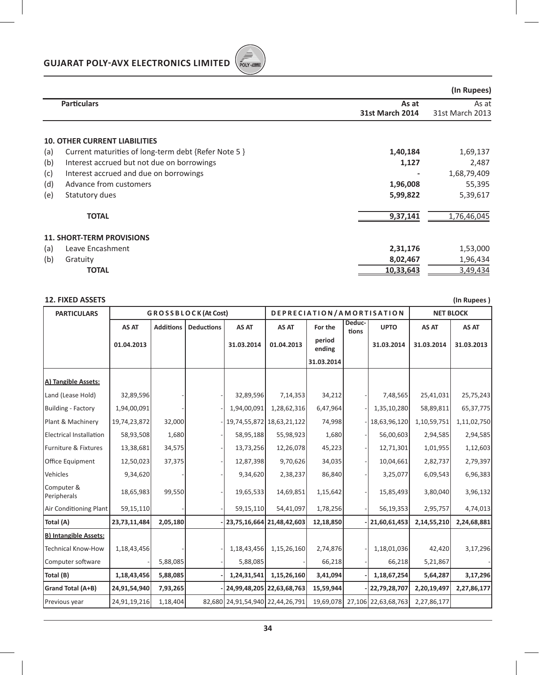### **GUJARAT POLY-AVX ELECTRONICS LIMITED**



### **(In Rupees)**

| <b>Particulars</b>                                          | As at                  | As at           |  |
|-------------------------------------------------------------|------------------------|-----------------|--|
|                                                             | <b>31st March 2014</b> | 31st March 2013 |  |
|                                                             |                        |                 |  |
| <b>10. OTHER CURRENT LIABILITIES</b>                        |                        |                 |  |
| (a)<br>Current maturities of long-term debt {Refer Note 5 } | 1,40,184               | 1,69,137        |  |
| (b)<br>Interest accrued but not due on borrowings           | 1,127                  | 2,487           |  |
| (c)<br>Interest accrued and due on borrowings               |                        | 1,68,79,409     |  |
| (d)<br>Advance from customers                               | 1,96,008               | 55,395          |  |
| (e)<br>Statutory dues                                       | 5,99,822               | 5,39,617        |  |
| <b>TOTAL</b>                                                | 9,37,141               | 1,76,46,045     |  |
| <b>11. SHORT-TERM PROVISIONS</b>                            |                        |                 |  |
| (a)<br>Leave Encashment                                     | 2,31,176               | 1,53,000        |  |
| (b)<br>Gratuity                                             | 8,02,467               | 1,96,434        |  |
| <b>TOTAL</b>                                                | 10,33,643              | 3,49,434        |  |

### **12. FIXED ASSETS (In Rupees )**

| <b>PARTICULARS</b>           | GROSSBLOCK (At Cost) |                  |                   |                                  |                           | DEPRECIATION/AMORTISATION | <b>NET BLOCK</b> |                     |              |             |
|------------------------------|----------------------|------------------|-------------------|----------------------------------|---------------------------|---------------------------|------------------|---------------------|--------------|-------------|
|                              | <b>AS AT</b>         | <b>Additions</b> | <b>Deductions</b> | AS AT                            | AS AT                     | For the                   | Deduc-<br>tions  | <b>UPTO</b>         | <b>AS AT</b> | AS AT       |
|                              | 01.04.2013           |                  |                   | 31.03.2014                       | 01.04.2013                | period<br>ending          |                  | 31.03.2014          | 31.03.2014   | 31.03.2013  |
|                              |                      |                  |                   |                                  |                           | 31.03.2014                |                  |                     |              |             |
| A) Tangible Assets:          |                      |                  |                   |                                  |                           |                           |                  |                     |              |             |
| Land (Lease Hold)            | 32,89,596            |                  |                   | 32,89,596                        | 7,14,353                  | 34,212                    |                  | 7,48,565            | 25,41,031    | 25,75,243   |
| Building - Factory           | 1,94,00,091          |                  |                   | 1,94,00,091                      | 1,28,62,316               | 6,47,964                  |                  | 1,35,10,280         | 58,89,811    | 65, 37, 775 |
| Plant & Machinery            | 19,74,23,872         | 32,000           |                   |                                  | 19,74,55,872 18,63,21,122 | 74,998                    |                  | 18,63,96,120        | 1,10,59,751  | 1,11,02,750 |
| Electrical Installation      | 58,93,508            | 1,680            |                   | 58,95,188                        | 55,98,923                 | 1,680                     |                  | 56,00,603           | 2,94,585     | 2,94,585    |
| Furniture & Fixtures         | 13,38,681            | 34,575           |                   | 13,73,256                        | 12,26,078                 | 45,223                    |                  | 12,71,301           | 1,01,955     | 1,12,603    |
| Office Equipment             | 12,50,023            | 37,375           |                   | 12,87,398                        | 9,70,626                  | 34,035                    |                  | 10,04,661           | 2,82,737     | 2,79,397    |
| Vehicles                     | 9,34,620             |                  |                   | 9,34,620                         | 2,38,237                  | 86,840                    |                  | 3,25,077            | 6,09,543     | 6,96,383    |
| Computer &<br>Peripherals    | 18,65,983            | 99,550           |                   | 19,65,533                        | 14,69,851                 | 1,15,642                  |                  | 15,85,493           | 3,80,040     | 3,96,132    |
| Air Conditioning Plant       | 59,15,110            |                  |                   | 59,15,110                        | 54,41,097                 | 1,78,256                  |                  | 56,19,353           | 2,95,757     | 4,74,013    |
| Total (A)                    | 23,73,11,484         | 2,05,180         |                   | 23,75,16,664 21,48,42,603        |                           | 12,18,850                 |                  | 21,60,61,453        | 2,14,55,210  | 2,24,68,881 |
| <b>B) Intangible Assets:</b> |                      |                  |                   |                                  |                           |                           |                  |                     |              |             |
| <b>Technical Know-How</b>    | 1,18,43,456          |                  |                   | 1,18,43,456                      | 1,15,26,160               | 2,74,876                  |                  | 1,18,01,036         | 42,420       | 3,17,296    |
| Computer software            |                      | 5,88,085         |                   | 5,88,085                         |                           | 66,218                    |                  | 66,218              | 5,21,867     |             |
| Total (B)                    | 1,18,43,456          | 5,88,085         |                   | 1,24,31,541                      | 1,15,26,160               | 3,41,094                  |                  | 1,18,67,254         | 5,64,287     | 3,17,296    |
| Grand Total (A+B)            | 24,91,54,940         | 7,93,265         |                   |                                  | 24,99,48,205 22,63,68,763 | 15,59,944                 |                  | 22,79,28,707        | 2,20,19,497  | 2,27,86,177 |
| Previous year                | 24,91,19,216         | 1,18,404         |                   | 82,680 24,91,54,940 22,44,26,791 |                           | 19,69,078                 |                  | 27,106 22,63,68,763 | 2,27,86,177  |             |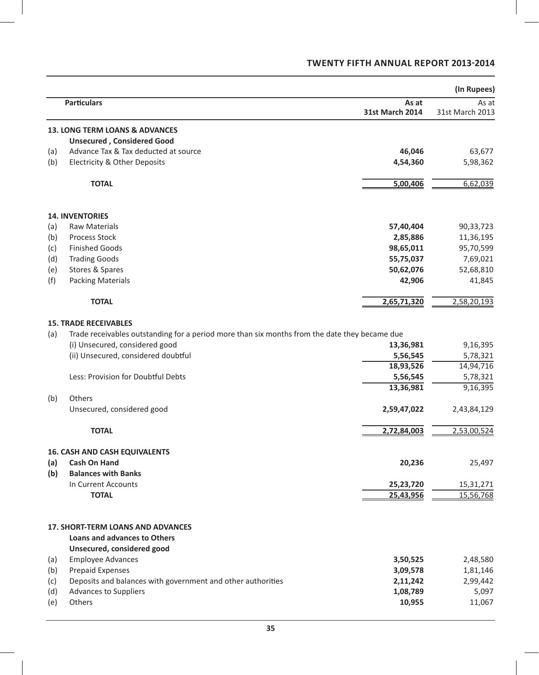### **Twenty FIFTH Annual Report 2013-2014**

|     |                                                                                               |                                 | (In Rupees)              |
|-----|-----------------------------------------------------------------------------------------------|---------------------------------|--------------------------|
|     | <b>Particulars</b>                                                                            | As at<br><b>31st March 2014</b> | As at<br>31st March 2013 |
|     | <b>13. LONG TERM LOANS &amp; ADVANCES</b>                                                     |                                 |                          |
|     | <b>Unsecured, Considered Good</b>                                                             |                                 |                          |
| (a) | Advance Tax & Tax deducted at source                                                          | 46,046                          | 63,677                   |
| (b) | <b>Electricity &amp; Other Deposits</b>                                                       | 4,54,360                        | 5,98,362                 |
|     | <b>TOTAL</b>                                                                                  | 5,00,406                        | 6,62,039                 |
|     | <b>14. INVENTORIES</b>                                                                        |                                 |                          |
| (a) | Raw Materials                                                                                 | 57,40,404                       | 90,33,723                |
| (b) | <b>Process Stock</b>                                                                          | 2,85,886                        | 11,36,195                |
| (c) | <b>Finished Goods</b>                                                                         | 98,65,011                       | 95,70,599                |
| (d) | <b>Trading Goods</b>                                                                          | 55,75,037                       | 7,69,021                 |
| (e) | Stores & Spares                                                                               | 50,62,076                       | 52,68,810                |
| (f) | <b>Packing Materials</b>                                                                      | 42,906                          | 41,845                   |
|     | <b>TOTAL</b>                                                                                  | 2,65,71,320                     | 2,58,20,193              |
|     | <b>15. TRADE RECEIVABLES</b>                                                                  |                                 |                          |
| (a) | Trade receivables outstanding for a period more than six months from the date they became due |                                 |                          |
|     | (i) Unsecured, considered good                                                                | 13,36,981                       | 9,16,395                 |
|     | (ii) Unsecured, considered doubtful                                                           | 5,56,545                        | 5,78,321                 |
|     |                                                                                               | 18,93,526                       | 14,94,716                |
|     | Less: Provision for Doubtful Debts                                                            | 5,56,545                        | 5,78,321                 |
|     |                                                                                               | 13,36,981                       | 9,16,395                 |
| (b) | <b>Others</b>                                                                                 |                                 |                          |
|     | Unsecured, considered good                                                                    | 2,59,47,022                     | 2,43,84,129              |
|     | <b>TOTAL</b>                                                                                  | 2,72,84,003                     | 2,53,00,524              |
|     | <b>16. CASH AND CASH EQUIVALENTS</b>                                                          |                                 |                          |
| (a) | Cash On Hand                                                                                  | 20,236                          | 25,497                   |
| (b) | <b>Balances with Banks</b>                                                                    |                                 |                          |
|     | In Current Accounts                                                                           | 25,23,720                       | 15,31,271                |
|     | <b>TOTAL</b>                                                                                  | 25,43,956                       | 15,56,768                |
|     | <b>17. SHORT-TERM LOANS AND ADVANCES</b>                                                      |                                 |                          |
|     | <b>Loans and advances to Others</b>                                                           |                                 |                          |
|     | Unsecured, considered good                                                                    |                                 |                          |
| (a) | <b>Employee Advances</b>                                                                      | 3,50,525                        | 2,48,580                 |
| (b) | <b>Prepaid Expenses</b>                                                                       | 3,09,578                        | 1,81,146                 |
| (c) | Deposits and balances with government and other authorities                                   | 2,11,242                        | 2,99,442                 |
| (d) | Advances to Suppliers                                                                         | 1,08,789                        | 5,097                    |
| (e) | Others                                                                                        | 10,955                          | 11,067                   |
|     |                                                                                               |                                 |                          |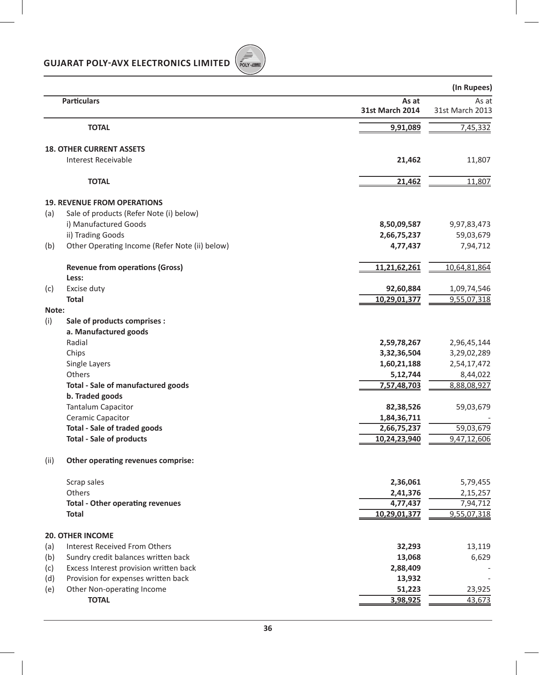### **GUJARAT POLY-AVX ELECTRONICS LIMITED**



|       |                                                |                                 | (In Rupees)              |
|-------|------------------------------------------------|---------------------------------|--------------------------|
|       | <b>Particulars</b>                             | As at<br><b>31st March 2014</b> | As at<br>31st March 2013 |
|       | <b>TOTAL</b>                                   | 9,91,089                        | 7,45,332                 |
|       | <b>18. OTHER CURRENT ASSETS</b>                |                                 |                          |
|       | <b>Interest Receivable</b>                     | 21,462                          | 11,807                   |
|       | <b>TOTAL</b>                                   | 21,462                          | 11,807                   |
|       | <b>19. REVENUE FROM OPERATIONS</b>             |                                 |                          |
| (a)   | Sale of products (Refer Note (i) below)        |                                 |                          |
|       | i) Manufactured Goods                          | 8,50,09,587                     | 9,97,83,473              |
|       | ii) Trading Goods                              | 2,66,75,237                     | 59,03,679                |
| (b)   | Other Operating Income (Refer Note (ii) below) | 4,77,437                        | 7,94,712                 |
|       | <b>Revenue from operations (Gross)</b>         | 11,21,62,261                    | 10,64,81,864             |
|       | Less:                                          |                                 |                          |
| (c)   | Excise duty                                    | 92,60,884                       | 1,09,74,546              |
|       | <b>Total</b>                                   | 10,29,01,377                    | 9,55,07,318              |
| Note: |                                                |                                 |                          |
| (i)   | Sale of products comprises :                   |                                 |                          |
|       | a. Manufactured goods                          |                                 |                          |
|       | Radial                                         | 2,59,78,267                     | 2,96,45,144              |
|       | Chips                                          | 3,32,36,504                     | 3,29,02,289              |
|       | Single Layers                                  | 1,60,21,188                     | 2,54,17,472              |
|       | Others                                         | 5,12,744                        | 8,44,022                 |
|       | <b>Total - Sale of manufactured goods</b>      | 7,57,48,703                     | 8,88,08,927              |
|       | b. Traded goods                                |                                 |                          |
|       | Tantalum Capacitor                             | 82,38,526                       | 59,03,679                |
|       | Ceramic Capacitor                              | 1,84,36,711                     |                          |
|       | <b>Total - Sale of traded goods</b>            | 2,66,75,237                     | 59,03,679                |
|       | <b>Total - Sale of products</b>                | 10,24,23,940                    | 9,47,12,606              |
| (ii)  | Other operating revenues comprise:             |                                 |                          |
|       | Scrap sales                                    | 2,36,061                        | 5,79,455                 |
|       | Others                                         | 2,41,376                        | 2,15,257                 |
|       | <b>Total - Other operating revenues</b>        | 4,77,437                        | 7,94,712                 |
|       | <b>Total</b>                                   | 10,29,01,377                    | 9,55,07,318              |
|       | <b>20. OTHER INCOME</b>                        |                                 |                          |
| (a)   | <b>Interest Received From Others</b>           | 32,293                          | 13,119                   |
| (b)   | Sundry credit balances written back            | 13,068                          | 6,629                    |
| (c)   | Excess Interest provision written back         | 2,88,409                        |                          |
| (d)   | Provision for expenses written back            | 13,932                          |                          |
| (e)   | Other Non-operating Income                     | 51,223                          | 23,925                   |
|       | <b>TOTAL</b>                                   | 3,98,925                        | 43,673                   |
|       |                                                |                                 |                          |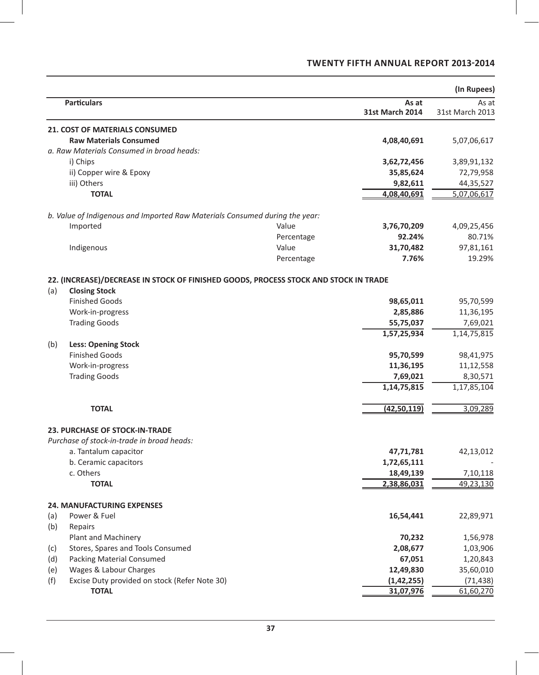### **Twenty FIFTH Annual Report 2013-2014**

|     |                                                                                                              |            |                                 | (In Rupees)              |
|-----|--------------------------------------------------------------------------------------------------------------|------------|---------------------------------|--------------------------|
|     | <b>Particulars</b>                                                                                           |            | As at<br><b>31st March 2014</b> | As at<br>31st March 2013 |
|     | <b>21. COST OF MATERIALS CONSUMED</b>                                                                        |            |                                 |                          |
|     | <b>Raw Materials Consumed</b>                                                                                |            | 4,08,40,691                     | 5,07,06,617              |
|     | a. Raw Materials Consumed in broad heads:                                                                    |            |                                 |                          |
|     | i) Chips                                                                                                     |            | 3,62,72,456                     | 3,89,91,132              |
|     | ii) Copper wire & Epoxy                                                                                      |            | 35,85,624                       | 72,79,958                |
|     | iii) Others                                                                                                  |            | 9,82,611                        | 44,35,527                |
|     | <b>TOTAL</b>                                                                                                 |            | 4,08,40,691                     | 5,07,06,617              |
|     | b. Value of Indigenous and Imported Raw Materials Consumed during the year:                                  |            |                                 |                          |
|     | Imported                                                                                                     | Value      | 3,76,70,209                     | 4,09,25,456              |
|     |                                                                                                              | Percentage | 92.24%                          | 80.71%                   |
|     | Indigenous                                                                                                   | Value      | 31,70,482                       | 97,81,161                |
|     |                                                                                                              | Percentage | 7.76%                           | 19.29%                   |
| (a) | 22. (INCREASE)/DECREASE IN STOCK OF FINISHED GOODS, PROCESS STOCK AND STOCK IN TRADE<br><b>Closing Stock</b> |            |                                 |                          |
|     | <b>Finished Goods</b>                                                                                        |            | 98,65,011                       | 95,70,599                |
|     | Work-in-progress                                                                                             |            | 2,85,886                        | 11,36,195                |
|     | <b>Trading Goods</b>                                                                                         |            | 55,75,037                       | 7,69,021                 |
|     |                                                                                                              |            | 1,57,25,934                     | 1,14,75,815              |
| (b) | <b>Less: Opening Stock</b>                                                                                   |            |                                 |                          |
|     | <b>Finished Goods</b>                                                                                        |            | 95,70,599                       | 98,41,975                |
|     | Work-in-progress                                                                                             |            | 11,36,195                       | 11,12,558                |
|     | <b>Trading Goods</b>                                                                                         |            | 7,69,021                        | 8,30,571                 |
|     |                                                                                                              |            | 1, 14, 75, 815                  | 1,17,85,104              |
|     | <b>TOTAL</b>                                                                                                 |            | (42, 50, 119)                   | 3,09,289                 |
|     |                                                                                                              |            |                                 |                          |
|     | <b>23. PURCHASE OF STOCK-IN-TRADE</b>                                                                        |            |                                 |                          |
|     | Purchase of stock-in-trade in broad heads:                                                                   |            |                                 |                          |
|     | a. Tantalum capacitor                                                                                        |            | 47,71,781                       | 42,13,012                |
|     | b. Ceramic capacitors                                                                                        |            | 1,72,65,111                     |                          |
|     | c. Others                                                                                                    |            | 18,49,139                       | 7,10,118                 |
|     | <b>TOTAL</b>                                                                                                 |            | 2,38,86,031                     | 49,23,130                |
|     | 24. MANUFACTURING EXPENSES                                                                                   |            |                                 |                          |
| (a) | Power & Fuel                                                                                                 |            | 16,54,441                       | 22,89,971                |
| (b) | Repairs                                                                                                      |            |                                 |                          |
|     | Plant and Machinery                                                                                          |            | 70,232                          | 1,56,978                 |
| (c) | Stores, Spares and Tools Consumed                                                                            |            | 2,08,677                        | 1,03,906                 |
| (d) | <b>Packing Material Consumed</b>                                                                             |            | 67,051                          | 1,20,843                 |
| (e) | Wages & Labour Charges                                                                                       |            | 12,49,830                       | 35,60,010                |
| (f) | Excise Duty provided on stock (Refer Note 30)                                                                |            | (1, 42, 255)                    | (71, 438)                |
|     | <b>TOTAL</b>                                                                                                 |            | 31,07,976                       | 61,60,270                |
|     |                                                                                                              |            |                                 |                          |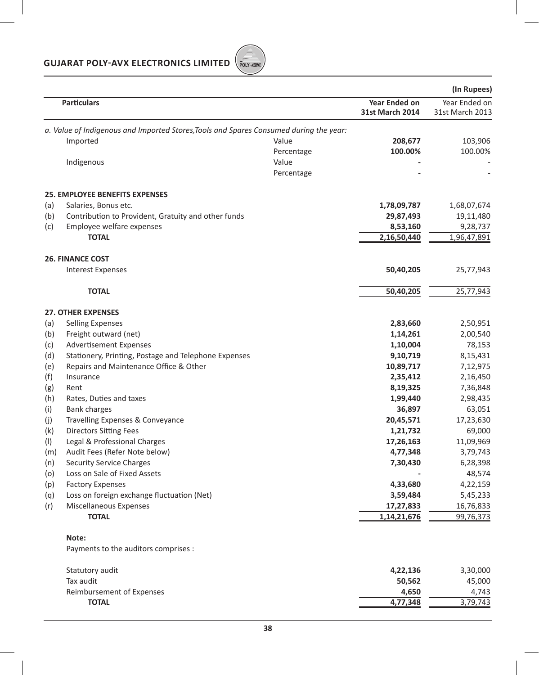### **GUJARAT POLY-AVX ELECTRONICS LIMITED**



|     |                                                                                        |            |                        | (In Rupees)     |
|-----|----------------------------------------------------------------------------------------|------------|------------------------|-----------------|
|     | <b>Particulars</b>                                                                     |            | Year Ended on          | Year Ended on   |
|     |                                                                                        |            | <b>31st March 2014</b> | 31st March 2013 |
|     | a. Value of Indigenous and Imported Stores, Tools and Spares Consumed during the year: |            |                        |                 |
|     | Imported                                                                               | Value      | 208,677                | 103,906         |
|     |                                                                                        | Percentage | 100.00%                | 100.00%         |
|     | Indigenous                                                                             | Value      |                        |                 |
|     |                                                                                        | Percentage |                        |                 |
|     | <b>25. EMPLOYEE BENEFITS EXPENSES</b>                                                  |            |                        |                 |
| (a) | Salaries, Bonus etc.                                                                   |            | 1,78,09,787            | 1,68,07,674     |
| (b) | Contribution to Provident, Gratuity and other funds                                    |            | 29,87,493              | 19,11,480       |
| (c) | Employee welfare expenses                                                              |            | 8,53,160               | 9,28,737        |
|     | <b>TOTAL</b>                                                                           |            | 2,16,50,440            | 1,96,47,891     |
|     | <b>26. FINANCE COST</b>                                                                |            |                        |                 |
|     | <b>Interest Expenses</b>                                                               |            | 50,40,205              | 25,77,943       |
|     |                                                                                        |            |                        |                 |
|     | <b>TOTAL</b>                                                                           |            | 50,40,205              | 25,77,943       |
|     | <b>27. OTHER EXPENSES</b>                                                              |            |                        |                 |
| (a) | <b>Selling Expenses</b>                                                                |            | 2,83,660               | 2,50,951        |
| (b) | Freight outward (net)                                                                  |            | 1,14,261               | 2,00,540        |
| (c) | <b>Advertisement Expenses</b>                                                          |            | 1,10,004               | 78,153          |
| (d) | Stationery, Printing, Postage and Telephone Expenses                                   |            | 9,10,719               | 8,15,431        |
| (e) | Repairs and Maintenance Office & Other                                                 |            | 10,89,717              | 7,12,975        |
| (f) | Insurance                                                                              |            | 2,35,412               | 2,16,450        |
| (g) | Rent                                                                                   |            | 8,19,325               | 7,36,848        |
| (h) | Rates, Duties and taxes                                                                |            | 1,99,440               | 2,98,435        |
| (i) | <b>Bank charges</b>                                                                    |            | 36,897                 | 63,051          |
| (j) | Travelling Expenses & Conveyance                                                       |            | 20,45,571              | 17,23,630       |
| (k) | <b>Directors Sitting Fees</b>                                                          |            | 1,21,732               | 69,000          |
| (1) | Legal & Professional Charges                                                           |            | 17,26,163              | 11,09,969       |
| (m) | Audit Fees (Refer Note below)                                                          |            | 4,77,348               | 3,79,743        |
| (n) | <b>Security Service Charges</b>                                                        |            | 7,30,430               | 6,28,398        |
| (o) | Loss on Sale of Fixed Assets                                                           |            |                        | 48,574          |
| (p) | <b>Factory Expenses</b>                                                                |            | 4,33,680               | 4,22,159        |
| (q) | Loss on foreign exchange fluctuation (Net)                                             |            | 3,59,484               | 5,45,233        |
| (r) | Miscellaneous Expenses                                                                 |            | 17,27,833              | 16,76,833       |
|     | <b>TOTAL</b>                                                                           |            | 1,14,21,676            | 99,76,373       |
|     | Note:                                                                                  |            |                        |                 |
|     | Payments to the auditors comprises :                                                   |            |                        |                 |
|     | Statutory audit                                                                        |            | 4,22,136               | 3,30,000        |
|     | Tax audit                                                                              |            | 50,562                 | 45,000          |
|     | Reimbursement of Expenses                                                              |            | 4,650                  | 4,743           |
|     | <b>TOTAL</b>                                                                           |            | 4,77,348               | 3,79,743        |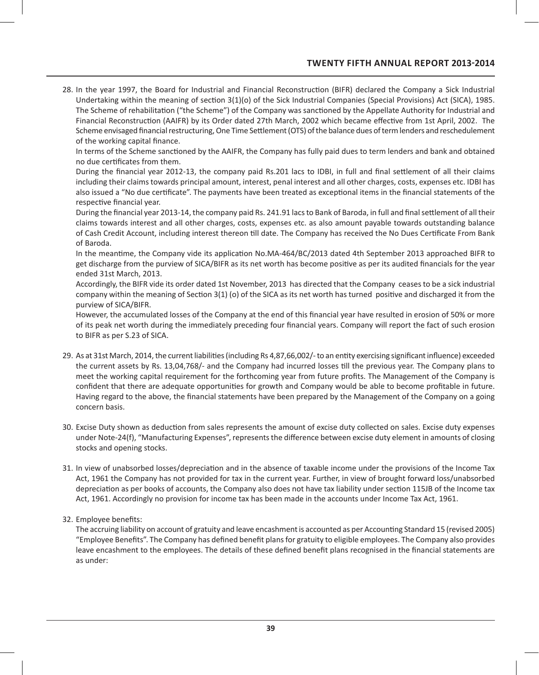### **Twenty FIFTH Annual Report 2013-2014**

28.In the year 1997, the Board for Industrial and Financial Reconstruction (BIFR) declared the Company a Sick Industrial Undertaking within the meaning of section 3(1)(o) of the Sick Industrial Companies (Special Provisions) Act (SICA), 1985. The Scheme of rehabilitation ("the Scheme") of the Company was sanctioned by the Appellate Authority for Industrial and Financial Reconstruction (AAIFR) by its Order dated 27th March, 2002 which became effective from 1st April, 2002. The Scheme envisaged financial restructuring, One Time Settlement (OTS) of the balance dues of term lenders and reschedulement of the working capital finance.

In terms of the Scheme sanctioned by the AAIFR, the Company has fully paid dues to term lenders and bank and obtained no due certificates from them.

During the financial year 2012-13, the company paid Rs.201 lacs to IDBI, in full and final settlement of all their claims including their claims towards principal amount, interest, penal interest and all other charges, costs, expenses etc. IDBI has also issued a "No due certificate". The payments have been treated as exceptional items in the financial statements of the respective financial year.

During the financial year 2013-14, the company paid Rs. 241.91 lacs to Bank of Baroda, in full and final settlement of all their claims towards interest and all other charges, costs, expenses etc. as also amount payable towards outstanding balance of Cash Credit Account, including interest thereon till date. The Company has received the No Dues Certificate From Bank of Baroda.

In the meantime, the Company vide its application No.MA-464/BC/2013 dated 4th September 2013 approached BIFR to get discharge from the purview of SICA/BIFR as its net worth has become positive as per its audited financials for the year ended 31st March, 2013.

Accordingly, the BIFR vide its order dated 1st November, 2013 has directed that the Company ceases to be a sick industrial company within the meaning of Section 3(1) (o) of the SICA as its net worth has turned positive and discharged it from the purview of SICA/BIFR.

However, the accumulated losses of the Company at the end of this financial year have resulted in erosion of 50% or more of its peak net worth during the immediately preceding four financial years. Company will report the fact of such erosion to BIFR as per S.23 of SICA.

- 29.As at 31st March, 2014, the current liabilities (including Rs 4,87,66,002/- to an entity exercising significant influence) exceeded the current assets by Rs. 13,04,768/- and the Company had incurred losses till the previous year. The Company plans to meet the working capital requirement for the forthcoming year from future profits. The Management of the Company is confident that there are adequate opportunities for growth and Company would be able to become profitable in future. Having regard to the above, the financial statements have been prepared by the Management of the Company on a going concern basis.
- 30.Excise Duty shown as deduction from sales represents the amount of excise duty collected on sales. Excise duty expenses under Note-24(f), "Manufacturing Expenses", represents the difference between excise duty element in amounts of closing stocks and opening stocks.
- 31.In view of unabsorbed losses/depreciation and in the absence of taxable income under the provisions of the Income Tax Act, 1961 the Company has not provided for tax in the current year. Further, in view of brought forward loss/unabsorbed depreciation as per books of accounts, the Company also does not have tax liability under section 115JB of the Income tax Act, 1961. Accordingly no provision for income tax has been made in the accounts under Income Tax Act, 1961.

### 32. Employee benefits:

The accruing liability on account of gratuity and leave encashment is accounted as per Accounting Standard 15 (revised 2005) "Employee Benefits". The Company has defined benefit plans for gratuity to eligible employees. The Company also provides leave encashment to the employees. The details of these defined benefit plans recognised in the financial statements are as under: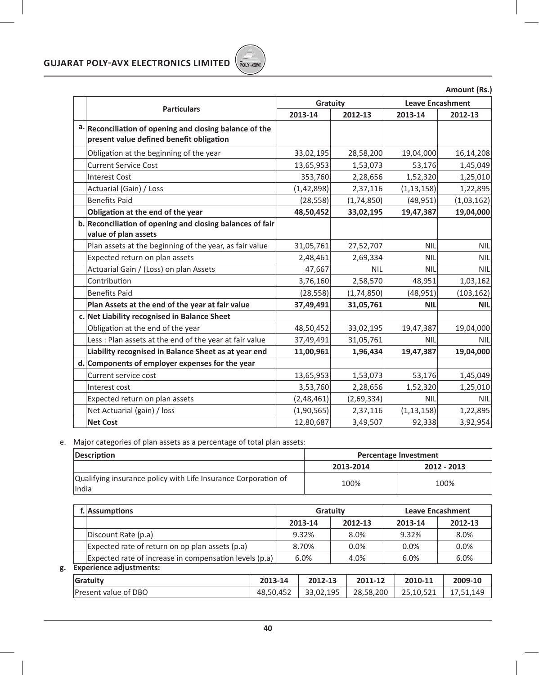

### **Amount (Rs.)**

|                                                                                                     | Gratuity     |            | <b>Leave Encashment</b> |            |  |
|-----------------------------------------------------------------------------------------------------|--------------|------------|-------------------------|------------|--|
| <b>Particulars</b>                                                                                  | 2013-14      | 2012-13    | 2013-14                 | 2012-13    |  |
| a. Reconciliation of opening and closing balance of the<br>present value defined benefit obligation |              |            |                         |            |  |
| Obligation at the beginning of the year                                                             | 33,02,195    | 28,58,200  | 19,04,000               | 16,14,208  |  |
| <b>Current Service Cost</b>                                                                         | 13,65,953    | 1,53,073   | 53,176                  | 1,45,049   |  |
| <b>Interest Cost</b>                                                                                | 353,760      | 2,28,656   | 1,52,320                | 1,25,010   |  |
| Actuarial (Gain) / Loss                                                                             | (1, 42, 898) | 2,37,116   | (1, 13, 158)            | 1,22,895   |  |
| <b>Benefits Paid</b>                                                                                | (28, 558)    | (1,74,850) | (48, 951)               | (1,03,162) |  |
| Obligation at the end of the year                                                                   | 48,50,452    | 33,02,195  | 19,47,387               | 19,04,000  |  |
| b. Reconciliation of opening and closing balances of fair<br>value of plan assets                   |              |            |                         |            |  |
| Plan assets at the beginning of the year, as fair value                                             | 31,05,761    | 27,52,707  | <b>NIL</b>              | <b>NIL</b> |  |
| Expected return on plan assets                                                                      | 2,48,461     | 2,69,334   | <b>NIL</b>              | <b>NIL</b> |  |
| Actuarial Gain / (Loss) on plan Assets                                                              | 47,667       | <b>NIL</b> | <b>NIL</b>              | <b>NIL</b> |  |
| Contribution                                                                                        | 3,76,160     | 2,58,570   | 48,951                  | 1,03,162   |  |
| <b>Benefits Paid</b>                                                                                | (28, 558)    | (1,74,850) | (48, 951)               | (103, 162) |  |
| Plan Assets at the end of the year at fair value                                                    | 37,49,491    | 31,05,761  | <b>NIL</b>              | <b>NIL</b> |  |
| c. Net Liability recognised in Balance Sheet                                                        |              |            |                         |            |  |
| Obligation at the end of the year                                                                   | 48,50,452    | 33,02,195  | 19,47,387               | 19,04,000  |  |
| Less: Plan assets at the end of the year at fair value                                              | 37,49,491    | 31,05,761  | <b>NIL</b>              | <b>NIL</b> |  |
| Liability recognised in Balance Sheet as at year end                                                | 11,00,961    | 1,96,434   | 19,47,387               | 19,04,000  |  |
| d. Components of employer expenses for the year                                                     |              |            |                         |            |  |
| Current service cost                                                                                | 13,65,953    | 1,53,073   | 53,176                  | 1,45,049   |  |
| Interest cost                                                                                       | 3,53,760     | 2,28,656   | 1,52,320                | 1,25,010   |  |
| Expected return on plan assets                                                                      | (2,48,461)   | (2,69,334) | <b>NIL</b>              | <b>NIL</b> |  |
| Net Actuarial (gain) / loss                                                                         | (1,90,565)   | 2,37,116   | (1, 13, 158)            | 1,22,895   |  |
| <b>Net Cost</b>                                                                                     | 12,80,687    | 3,49,507   | 92,338                  | 3,92,954   |  |

e. Major categories of plan assets as a percentage of total plan assets:

| Description                                                             | Percentage Investment |             |  |  |
|-------------------------------------------------------------------------|-----------------------|-------------|--|--|
|                                                                         | 2013-2014             | 2012 - 2013 |  |  |
| Qualifying insurance policy with Life Insurance Corporation of<br>India | 100%                  | 100%        |  |  |

|          | f. Assumptions                                  |                                                        |           | Gratuity |           |         |           | <b>Leave Encashment</b> |           |  |
|----------|-------------------------------------------------|--------------------------------------------------------|-----------|----------|-----------|---------|-----------|-------------------------|-----------|--|
|          |                                                 |                                                        |           |          | 2013-14   |         | 2012-13   | 2013-14                 | 2012-13   |  |
|          | Discount Rate (p.a)                             |                                                        |           |          | 9.32%     |         | 8.0%      | 9.32%                   | 8.0%      |  |
|          | Expected rate of return on op plan assets (p.a) |                                                        |           | 8.70%    |           | 0.0%    | 0.0%      | 0.0%                    |           |  |
|          |                                                 | Expected rate of increase in compensation levels (p.a) |           | 6.0%     |           |         | 4.0%      | 6.0%                    | 6.0%      |  |
| g.       | <b>Experience adjustments:</b>                  |                                                        |           |          |           |         |           |                         |           |  |
| Gratuity |                                                 | 2013-14                                                |           | 2012-13  |           | 2011-12 | 2010-11   | 2009-10                 |           |  |
|          |                                                 | Present value of DBO                                   | 48,50,452 |          | 33,02,195 |         | 28,58,200 | 25,10,521               | 17,51,149 |  |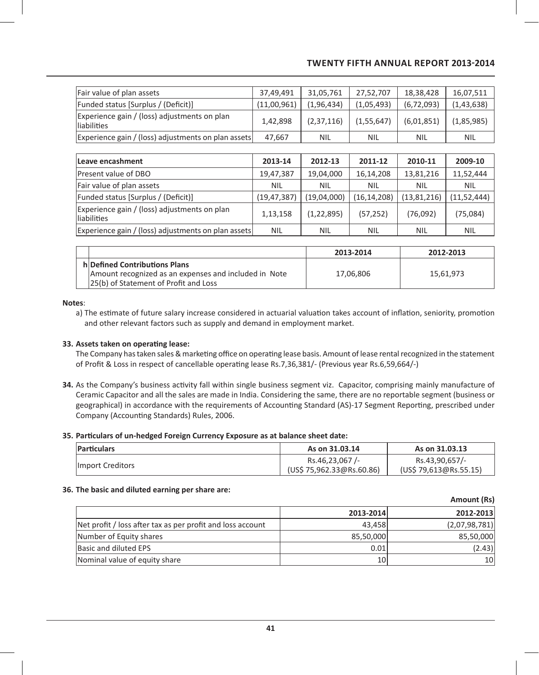### **Twenty FIFTH Annual Report 2013-2014**

| Fair value of plan assets                                    | 37.49.491   | 31.05.761    | 27.52.707  | 18.38.428    | 16,07,511  |
|--------------------------------------------------------------|-------------|--------------|------------|--------------|------------|
| Funded status [Surplus / (Deficit)]                          | (11,00,961) | (1, 96, 434) | (1,05,493) | (6, 72, 093) | (1,43,638) |
| Experience gain / (loss) adjustments on plan<br>lliabilities | 1,42,898    | (2,37,116)   | (1,55,647) | (6,01,851)   | (1,85,985) |
| Experience gain / (loss) adjustments on plan assets          | 47,667      | NIL          | NIL        | <b>NIL</b>   | <b>NIL</b> |

| Leave encashment                                             | 2013-14       | 2012-13      | 2011-12       | 2010-11       | 2009-10     |
|--------------------------------------------------------------|---------------|--------------|---------------|---------------|-------------|
| Present value of DBO                                         | 19,47,387     | 19,04,000    | 16,14,208     | 13,81,216     | 11,52,444   |
| Fair value of plan assets                                    | NIL           | NIL          | <b>NIL</b>    | <b>NIL</b>    | <b>NIL</b>  |
| Funded status [Surplus / (Deficit)]                          | (19, 47, 387) | (19,04,000)  | (16, 14, 208) | (13, 81, 216) | (11,52,444) |
| Experience gain / (loss) adjustments on plan<br>lliabilities | 1,13,158      | (1, 22, 895) | (57, 252)     | (76,092)      | (75,084)    |
| Experience gain / (loss) adjustments on plan assets          | NIL           | <b>NIL</b>   | NIL           | <b>NIL</b>    | <b>NIL</b>  |

|                                                                                                                                 | 2013-2014 | 2012-2013 |
|---------------------------------------------------------------------------------------------------------------------------------|-----------|-----------|
| h Defined Contributions Plans<br>Amount recognized as an expenses and included in Note<br>25(b) of Statement of Profit and Loss | 17,06,806 | 15.61.973 |

### **Notes**:

a) The estimate of future salary increase considered in actuarial valuation takes account of inflation, seniority, promotion and other relevant factors such as supply and demand in employment market.

### **33. Assets taken on operating lease:**

The Company has taken sales & marketing office on operating lease basis. Amount of lease rental recognized in the statement of Profit & Loss in respect of cancellable operating lease Rs.7,36,381/- (Previous year Rs.6,59,664/-)

**34.** As the Company's business activity fall within single business segment viz. Capacitor, comprising mainly manufacture of Ceramic Capacitor and all the sales are made in India. Considering the same, there are no reportable segment (business or geographical) in accordance with the requirements of Accounting Standard (AS)-17 Segment Reporting, prescribed under Company (Accounting Standards) Rules, 2006.

### **35. Particulars of un-hedged Foreign Currency Exposure as at balance sheet date:**

| <b>Particulars</b> | As on 31.03.14                              | As on 31.03.13                           |  |
|--------------------|---------------------------------------------|------------------------------------------|--|
| Import Creditors   | Rs.46,23,067/-<br>(US\$ 75,962.33@Rs.60.86) | Rs.43,90,657/-<br>(US\$ 79,613@Rs.55.15) |  |

### **36. The basic and diluted earning per share are:**

|                                                            |           | Amount (Rs)     |
|------------------------------------------------------------|-----------|-----------------|
|                                                            | 2013-2014 | 2012-2013       |
| Net profit / loss after tax as per profit and loss account | 43.458    | (2,07,98,781)   |
| Number of Equity shares                                    | 85,50,000 | 85,50,000       |
| Basic and diluted EPS                                      | 0.01      | (2.43)          |
| Nominal value of equity share                              | 10        | 10 <sup>1</sup> |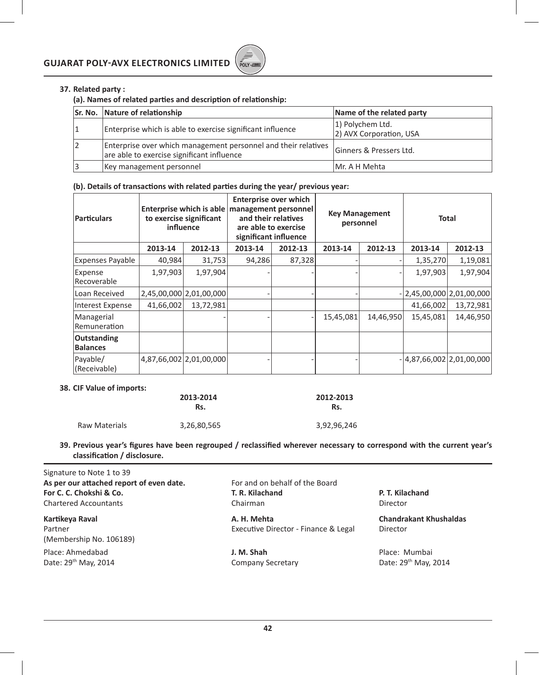### **37. Related party :**

### **(a). Names of related parties and description of relationship:**

| Sr. No. | Nature of relationship                                                                                       | Name of the related party                   |
|---------|--------------------------------------------------------------------------------------------------------------|---------------------------------------------|
|         | Enterprise which is able to exercise significant influence                                                   | 1) Polychem Ltd.<br>2) AVX Corporation, USA |
| 12      | Enterprise over which management personnel and their relatives<br>are able to exercise significant influence | Ginners & Pressers Ltd.                     |
| 13      | Key management personnel                                                                                     | IMr. A H Mehta                              |

POLY AWAY

### **(b). Details of transactions with related parties during the year/ previous year:**

| Particulars                    |           | Enterprise which is able<br>to exercise significant<br>influence | <b>Enterprise over which</b><br>management personnel<br>and their relatives<br>are able to exercise<br>significant influence |         | <b>Key Management</b><br>personnel |           | <b>Total</b> |                              |
|--------------------------------|-----------|------------------------------------------------------------------|------------------------------------------------------------------------------------------------------------------------------|---------|------------------------------------|-----------|--------------|------------------------------|
|                                | 2013-14   | 2012-13                                                          | 2013-14                                                                                                                      | 2012-13 | 2013-14                            | 2012-13   | 2013-14      | 2012-13                      |
| <b>Expenses Payable</b>        | 40,984    | 31,753                                                           | 94,286                                                                                                                       | 87,328  |                                    |           | 1,35,270     | 1,19,081                     |
| Expense<br>Recoverable         | 1,97,903  | 1,97,904                                                         |                                                                                                                              |         |                                    |           | 1,97,903     | 1,97,904                     |
| lLoan Received                 |           | 2,45,00,000 2,01,00,000                                          |                                                                                                                              |         |                                    |           |              | $- 2,45,00,000 2,01,00,000 $ |
| Interest Expense               | 41,66,002 | 13,72,981                                                        |                                                                                                                              |         |                                    |           | 41,66,002    | 13,72,981                    |
| Managerial<br>Remuneration     |           |                                                                  |                                                                                                                              |         | 15,45,081                          | 14,46,950 | 15,45,081    | 14,46,950                    |
| <b>Outstanding</b><br>Balances |           |                                                                  |                                                                                                                              |         |                                    |           |              |                              |
| Payable/<br>(Receivable)       |           | 4,87,66,002 2,01,00,000                                          |                                                                                                                              |         |                                    |           |              | $- 4,87,66,002 2,01,00,000 $ |

### **38. CIF Value of imports:**

|               | 2013-2014   | 2012-2013   |
|---------------|-------------|-------------|
|               | Rs.         | Rs.         |
| Raw Materials | 3,26,80,565 | 3,92,96,246 |

### **39. Previous year's figures have been regrouped / reclassified wherever necessary to correspond with the current year's classification / disclosure.**

| For and on behalf of the Board       |                                  |
|--------------------------------------|----------------------------------|
| T. R. Kilachand                      | P. T. Kilachand                  |
| Chairman                             | Director                         |
| A. H. Mehta                          | <b>Chandrakant Khushaldas</b>    |
| Executive Director - Finance & Legal | Director                         |
| J. M. Shah                           | Place: Mumbai                    |
| <b>Company Secretary</b>             | Date: 29 <sup>th</sup> May, 2014 |
|                                      |                                  |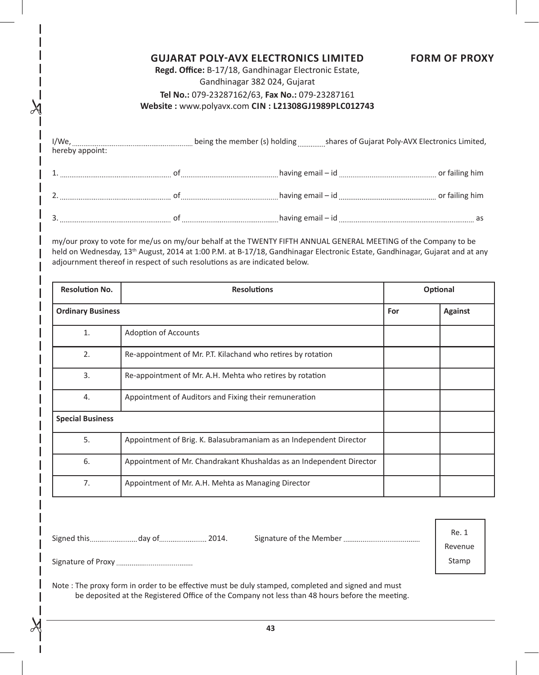**Gujarat Poly-AVX ELECTRONICS LIMITED**

**form of proxy**

**Regd. Office:** B-17/18, Gandhinagar Electronic Estate, Gandhinagar 382 024, Gujarat

### **Tel No.:** 079-23287162/63, **Fax No.:** 079-23287161 **Website :** www.polyavx.com **CIN : L21308GJ1989PLC012743**

| I/We<br>hereby appoint: |                   |                |
|-------------------------|-------------------|----------------|
|                         |                   | or failing him |
|                         |                   | or failing him |
|                         | having email – id |                |

my/our proxy to vote for me/us on my/our behalf at the TWENTY FIFTH ANNUAL GENERAL MEETING of the Company to be held on Wednesday, 13<sup>th</sup> August, 2014 at 1:00 P.M. at B-17/18, Gandhinagar Electronic Estate, Gandhinagar, Gujarat and at any adjournment thereof in respect of such resolutions as are indicated below.

| <b>Resolution No.</b>   | <b>Resolutions</b>                                                   |  | Optional |  |
|-------------------------|----------------------------------------------------------------------|--|----------|--|
|                         | <b>Ordinary Business</b>                                             |  | Against  |  |
| 1.                      | <b>Adoption of Accounts</b>                                          |  |          |  |
| 2.                      | Re-appointment of Mr. P.T. Kilachand who retires by rotation         |  |          |  |
| 3.                      | Re-appointment of Mr. A.H. Mehta who retires by rotation             |  |          |  |
| 4.                      | Appointment of Auditors and Fixing their remuneration                |  |          |  |
| <b>Special Business</b> |                                                                      |  |          |  |
| 5.                      | Appointment of Brig. K. Balasubramaniam as an Independent Director   |  |          |  |
| 6.                      | Appointment of Mr. Chandrakant Khushaldas as an Independent Director |  |          |  |
| 7.                      | Appointment of Mr. A.H. Mehta as Managing Director                   |  |          |  |

Signed this day of 2014. Signature of the Member

Re. 1 Revenue

Stamp

Signature of Proxy

 $\aleph$ 

 $\aleph$ 

Note : The proxy form in order to be effective must be duly stamped, completed and signed and must be deposited at the Registered Office of the Company not less than 48 hours before the meeting.